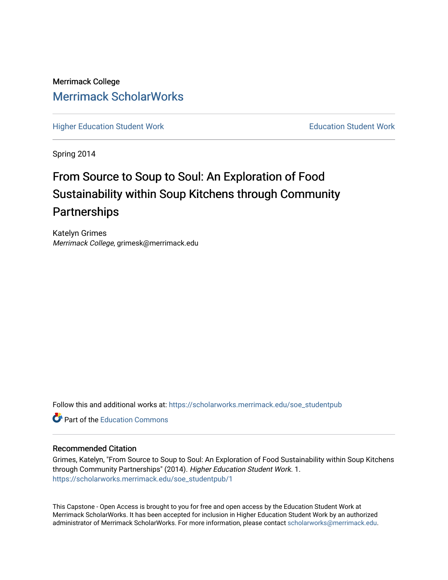# Merrimack College [Merrimack ScholarWorks](https://scholarworks.merrimack.edu/)

[Higher Education Student Work](https://scholarworks.merrimack.edu/soe_studentpub) **Education Student Work** Education Student Work

Spring 2014

# From Source to Soup to Soul: An Exploration of Food Sustainability within Soup Kitchens through Community **Partnerships**

Katelyn Grimes Merrimack College, grimesk@merrimack.edu

Follow this and additional works at: [https://scholarworks.merrimack.edu/soe\\_studentpub](https://scholarworks.merrimack.edu/soe_studentpub?utm_source=scholarworks.merrimack.edu%2Fsoe_studentpub%2F1&utm_medium=PDF&utm_campaign=PDFCoverPages) 

**C** Part of the [Education Commons](http://network.bepress.com/hgg/discipline/784?utm_source=scholarworks.merrimack.edu%2Fsoe_studentpub%2F1&utm_medium=PDF&utm_campaign=PDFCoverPages)

#### Recommended Citation

Grimes, Katelyn, "From Source to Soup to Soul: An Exploration of Food Sustainability within Soup Kitchens through Community Partnerships" (2014). Higher Education Student Work. 1. [https://scholarworks.merrimack.edu/soe\\_studentpub/1](https://scholarworks.merrimack.edu/soe_studentpub/1?utm_source=scholarworks.merrimack.edu%2Fsoe_studentpub%2F1&utm_medium=PDF&utm_campaign=PDFCoverPages) 

This Capstone - Open Access is brought to you for free and open access by the Education Student Work at Merrimack ScholarWorks. It has been accepted for inclusion in Higher Education Student Work by an authorized administrator of Merrimack ScholarWorks. For more information, please contact [scholarworks@merrimack.edu](mailto:scholarworks@merrimack.edu).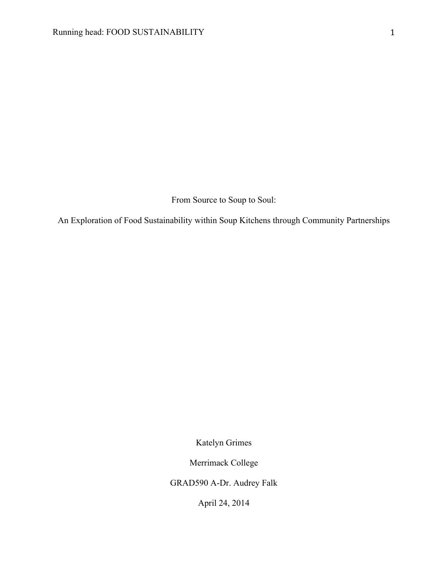From Source to Soup to Soul:

An Exploration of Food Sustainability within Soup Kitchens through Community Partnerships

Katelyn Grimes

Merrimack College

GRAD590 A-Dr. Audrey Falk

April 24, 2014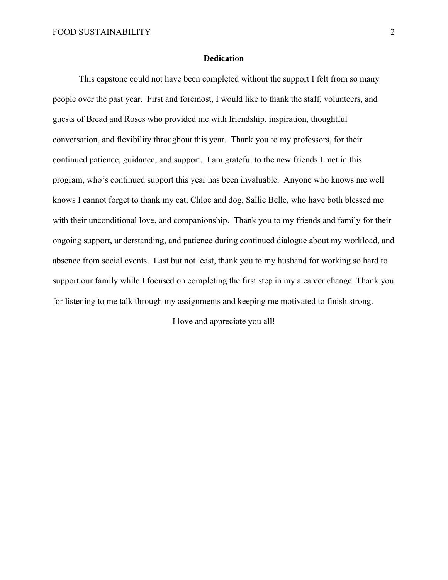#### **Dedication**

This capstone could not have been completed without the support I felt from so many people over the past year. First and foremost, I would like to thank the staff, volunteers, and guests of Bread and Roses who provided me with friendship, inspiration, thoughtful conversation, and flexibility throughout this year. Thank you to my professors, for their continued patience, guidance, and support. I am grateful to the new friends I met in this program, who's continued support this year has been invaluable. Anyone who knows me well knows I cannot forget to thank my cat, Chloe and dog, Sallie Belle, who have both blessed me with their unconditional love, and companionship. Thank you to my friends and family for their ongoing support, understanding, and patience during continued dialogue about my workload, and absence from social events. Last but not least, thank you to my husband for working so hard to support our family while I focused on completing the first step in my a career change. Thank you for listening to me talk through my assignments and keeping me motivated to finish strong.

I love and appreciate you all!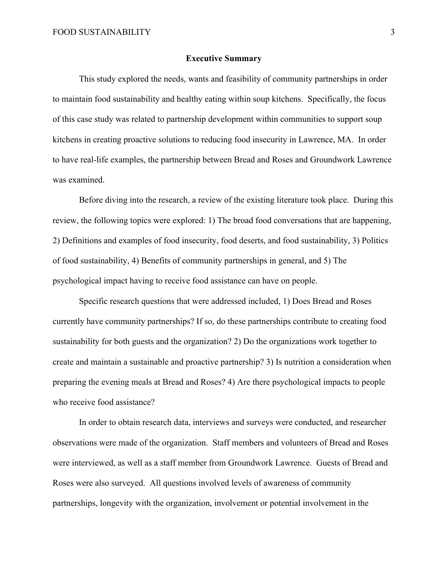#### **Executive Summary**

This study explored the needs, wants and feasibility of community partnerships in order to maintain food sustainability and healthy eating within soup kitchens. Specifically, the focus of this case study was related to partnership development within communities to support soup kitchens in creating proactive solutions to reducing food insecurity in Lawrence, MA. In order to have real-life examples, the partnership between Bread and Roses and Groundwork Lawrence was examined.

Before diving into the research, a review of the existing literature took place. During this review, the following topics were explored: 1) The broad food conversations that are happening, 2) Definitions and examples of food insecurity, food deserts, and food sustainability, 3) Politics of food sustainability, 4) Benefits of community partnerships in general, and 5) The psychological impact having to receive food assistance can have on people.

Specific research questions that were addressed included, 1) Does Bread and Roses currently have community partnerships? If so, do these partnerships contribute to creating food sustainability for both guests and the organization? 2) Do the organizations work together to create and maintain a sustainable and proactive partnership? 3) Is nutrition a consideration when preparing the evening meals at Bread and Roses? 4) Are there psychological impacts to people who receive food assistance?

In order to obtain research data, interviews and surveys were conducted, and researcher observations were made of the organization. Staff members and volunteers of Bread and Roses were interviewed, as well as a staff member from Groundwork Lawrence. Guests of Bread and Roses were also surveyed. All questions involved levels of awareness of community partnerships, longevity with the organization, involvement or potential involvement in the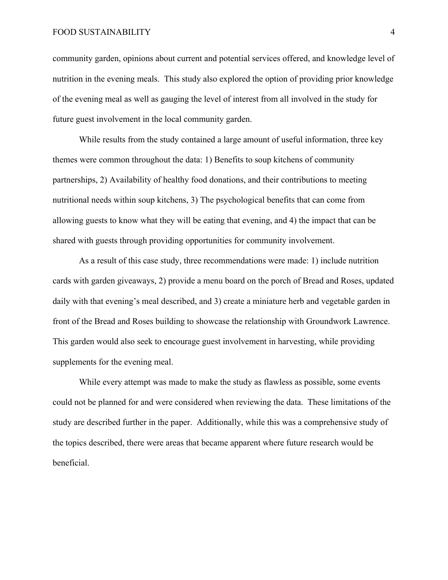#### FOOD SUSTAINABILITY 4

community garden, opinions about current and potential services offered, and knowledge level of nutrition in the evening meals. This study also explored the option of providing prior knowledge of the evening meal as well as gauging the level of interest from all involved in the study for future guest involvement in the local community garden.

While results from the study contained a large amount of useful information, three key themes were common throughout the data: 1) Benefits to soup kitchens of community partnerships, 2) Availability of healthy food donations, and their contributions to meeting nutritional needs within soup kitchens, 3) The psychological benefits that can come from allowing guests to know what they will be eating that evening, and 4) the impact that can be shared with guests through providing opportunities for community involvement.

As a result of this case study, three recommendations were made: 1) include nutrition cards with garden giveaways, 2) provide a menu board on the porch of Bread and Roses, updated daily with that evening's meal described, and 3) create a miniature herb and vegetable garden in front of the Bread and Roses building to showcase the relationship with Groundwork Lawrence. This garden would also seek to encourage guest involvement in harvesting, while providing supplements for the evening meal.

While every attempt was made to make the study as flawless as possible, some events could not be planned for and were considered when reviewing the data. These limitations of the study are described further in the paper. Additionally, while this was a comprehensive study of the topics described, there were areas that became apparent where future research would be beneficial.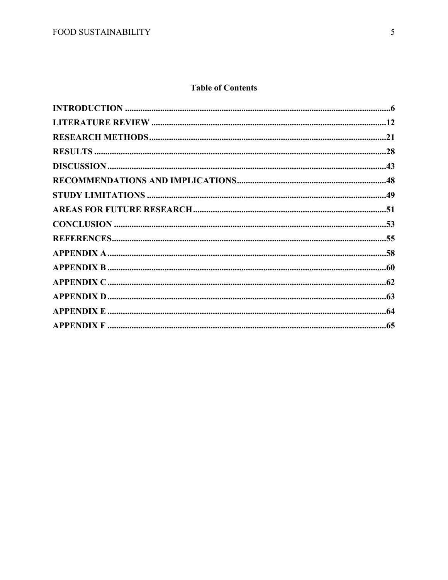# **Table of Contents**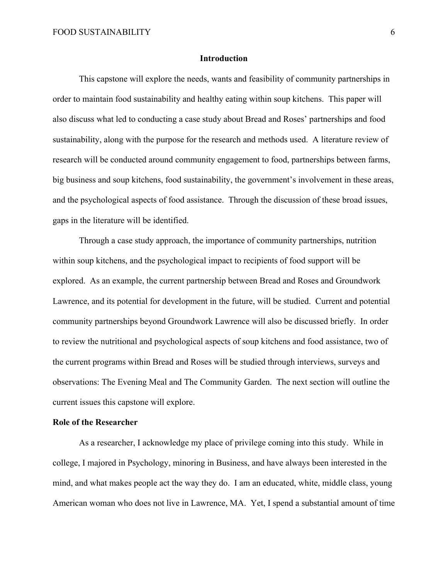#### **Introduction**

This capstone will explore the needs, wants and feasibility of community partnerships in order to maintain food sustainability and healthy eating within soup kitchens. This paper will also discuss what led to conducting a case study about Bread and Roses' partnerships and food sustainability, along with the purpose for the research and methods used. A literature review of research will be conducted around community engagement to food, partnerships between farms, big business and soup kitchens, food sustainability, the government's involvement in these areas, and the psychological aspects of food assistance. Through the discussion of these broad issues, gaps in the literature will be identified.

Through a case study approach, the importance of community partnerships, nutrition within soup kitchens, and the psychological impact to recipients of food support will be explored. As an example, the current partnership between Bread and Roses and Groundwork Lawrence, and its potential for development in the future, will be studied. Current and potential community partnerships beyond Groundwork Lawrence will also be discussed briefly. In order to review the nutritional and psychological aspects of soup kitchens and food assistance, two of the current programs within Bread and Roses will be studied through interviews, surveys and observations: The Evening Meal and The Community Garden. The next section will outline the current issues this capstone will explore.

#### **Role of the Researcher**

As a researcher, I acknowledge my place of privilege coming into this study. While in college, I majored in Psychology, minoring in Business, and have always been interested in the mind, and what makes people act the way they do. I am an educated, white, middle class, young American woman who does not live in Lawrence, MA. Yet, I spend a substantial amount of time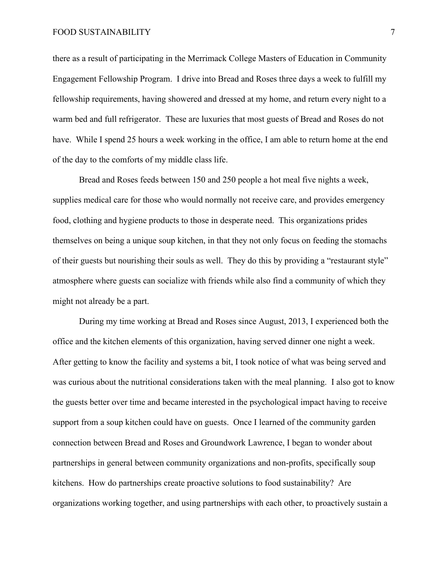#### FOOD SUSTAINABILITY 7

there as a result of participating in the Merrimack College Masters of Education in Community Engagement Fellowship Program. I drive into Bread and Roses three days a week to fulfill my fellowship requirements, having showered and dressed at my home, and return every night to a warm bed and full refrigerator. These are luxuries that most guests of Bread and Roses do not have. While I spend 25 hours a week working in the office, I am able to return home at the end of the day to the comforts of my middle class life.

Bread and Roses feeds between 150 and 250 people a hot meal five nights a week, supplies medical care for those who would normally not receive care, and provides emergency food, clothing and hygiene products to those in desperate need. This organizations prides themselves on being a unique soup kitchen, in that they not only focus on feeding the stomachs of their guests but nourishing their souls as well. They do this by providing a "restaurant style" atmosphere where guests can socialize with friends while also find a community of which they might not already be a part.

During my time working at Bread and Roses since August, 2013, I experienced both the office and the kitchen elements of this organization, having served dinner one night a week. After getting to know the facility and systems a bit, I took notice of what was being served and was curious about the nutritional considerations taken with the meal planning. I also got to know the guests better over time and became interested in the psychological impact having to receive support from a soup kitchen could have on guests. Once I learned of the community garden connection between Bread and Roses and Groundwork Lawrence, I began to wonder about partnerships in general between community organizations and non-profits, specifically soup kitchens. How do partnerships create proactive solutions to food sustainability? Are organizations working together, and using partnerships with each other, to proactively sustain a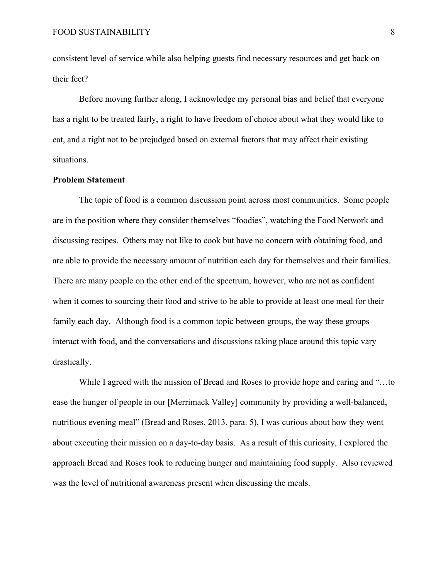consistent level of service while also helping guests find necessary resources and get back on their feet?

Before moving further along, I acknowledge my personal bias and belief that everyone has a right to be treated fairly, a right to have freedom of choice about what they would like to eat, and a right not to be prejudged based on external factors that may affect their existing situations.

#### **Problem Statement**

The topic of food is a common discussion point across most communities. Some people are in the position where they consider themselves "foodies", watching the Food Network and discussing recipes. Others may not like to cook but have no concern with obtaining food, and are able to provide the necessary amount of nutrition each day for themselves and their families. There are many people on the other end of the spectrum, however, who are not as confident when it comes to sourcing their food and strive to be able to provide at least one meal for their family each day. Although food is a common topic between groups, the way these groups interact with food, and the conversations and discussions taking place around this topic vary drastically.

While I agreed with the mission of Bread and Roses to provide hope and caring and "…to ease the hunger of people in our [Merrimack Valley] community by providing a well-balanced, nutritious evening meal" (Bread and Roses, 2013, para. 5), I was curious about how they went about executing their mission on a day-to-day basis. As a result of this curiosity, I explored the approach Bread and Roses took to reducing hunger and maintaining food supply. Also reviewed was the level of nutritional awareness present when discussing the meals.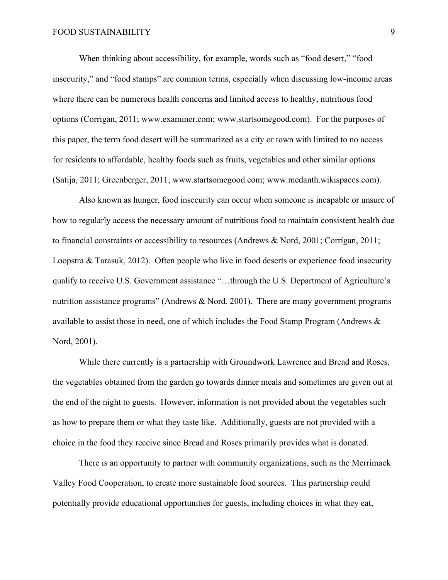When thinking about accessibility, for example, words such as "food desert," "food insecurity," and "food stamps" are common terms, especially when discussing low-income areas where there can be numerous health concerns and limited access to healthy, nutritious food options (Corrigan, 2011; www.examiner.com; www.startsomegood.com). For the purposes of this paper, the term food desert will be summarized as a city or town with limited to no access for residents to affordable, healthy foods such as fruits, vegetables and other similar options (Satija, 2011; Greenberger, 2011; www.startsomegood.com; www.medanth.wikispaces.com).

Also known as hunger, food insecurity can occur when someone is incapable or unsure of how to regularly access the necessary amount of nutritious food to maintain consistent health due to financial constraints or accessibility to resources (Andrews & Nord, 2001; Corrigan, 2011; Loopstra & Tarasuk, 2012). Often people who live in food deserts or experience food insecurity qualify to receive U.S. Government assistance "…through the U.S. Department of Agriculture's nutrition assistance programs" (Andrews & Nord, 2001). There are many government programs available to assist those in need, one of which includes the Food Stamp Program (Andrews  $\&$ Nord, 2001).

While there currently is a partnership with Groundwork Lawrence and Bread and Roses, the vegetables obtained from the garden go towards dinner meals and sometimes are given out at the end of the night to guests. However, information is not provided about the vegetables such as how to prepare them or what they taste like. Additionally, guests are not provided with a choice in the food they receive since Bread and Roses primarily provides what is donated.

There is an opportunity to partner with community organizations, such as the Merrimack Valley Food Cooperation, to create more sustainable food sources. This partnership could potentially provide educational opportunities for guests, including choices in what they eat,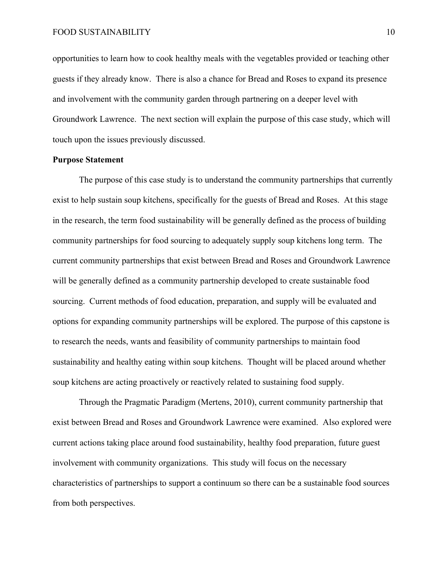opportunities to learn how to cook healthy meals with the vegetables provided or teaching other guests if they already know. There is also a chance for Bread and Roses to expand its presence and involvement with the community garden through partnering on a deeper level with Groundwork Lawrence. The next section will explain the purpose of this case study, which will touch upon the issues previously discussed.

#### **Purpose Statement**

The purpose of this case study is to understand the community partnerships that currently exist to help sustain soup kitchens, specifically for the guests of Bread and Roses. At this stage in the research, the term food sustainability will be generally defined as the process of building community partnerships for food sourcing to adequately supply soup kitchens long term. The current community partnerships that exist between Bread and Roses and Groundwork Lawrence will be generally defined as a community partnership developed to create sustainable food sourcing. Current methods of food education, preparation, and supply will be evaluated and options for expanding community partnerships will be explored. The purpose of this capstone is to research the needs, wants and feasibility of community partnerships to maintain food sustainability and healthy eating within soup kitchens. Thought will be placed around whether soup kitchens are acting proactively or reactively related to sustaining food supply.

Through the Pragmatic Paradigm (Mertens, 2010), current community partnership that exist between Bread and Roses and Groundwork Lawrence were examined. Also explored were current actions taking place around food sustainability, healthy food preparation, future guest involvement with community organizations. This study will focus on the necessary characteristics of partnerships to support a continuum so there can be a sustainable food sources from both perspectives.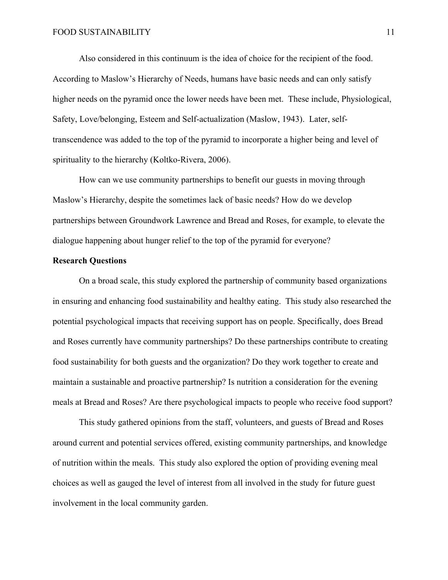Also considered in this continuum is the idea of choice for the recipient of the food. According to Maslow's Hierarchy of Needs, humans have basic needs and can only satisfy higher needs on the pyramid once the lower needs have been met. These include, Physiological, Safety, Love/belonging, Esteem and Self-actualization (Maslow, 1943). Later, selftranscendence was added to the top of the pyramid to incorporate a higher being and level of spirituality to the hierarchy (Koltko-Rivera, 2006).

How can we use community partnerships to benefit our guests in moving through Maslow's Hierarchy, despite the sometimes lack of basic needs? How do we develop partnerships between Groundwork Lawrence and Bread and Roses, for example, to elevate the dialogue happening about hunger relief to the top of the pyramid for everyone?

#### **Research Questions**

On a broad scale, this study explored the partnership of community based organizations in ensuring and enhancing food sustainability and healthy eating. This study also researched the potential psychological impacts that receiving support has on people. Specifically, does Bread and Roses currently have community partnerships? Do these partnerships contribute to creating food sustainability for both guests and the organization? Do they work together to create and maintain a sustainable and proactive partnership? Is nutrition a consideration for the evening meals at Bread and Roses? Are there psychological impacts to people who receive food support?

This study gathered opinions from the staff, volunteers, and guests of Bread and Roses around current and potential services offered, existing community partnerships, and knowledge of nutrition within the meals. This study also explored the option of providing evening meal choices as well as gauged the level of interest from all involved in the study for future guest involvement in the local community garden.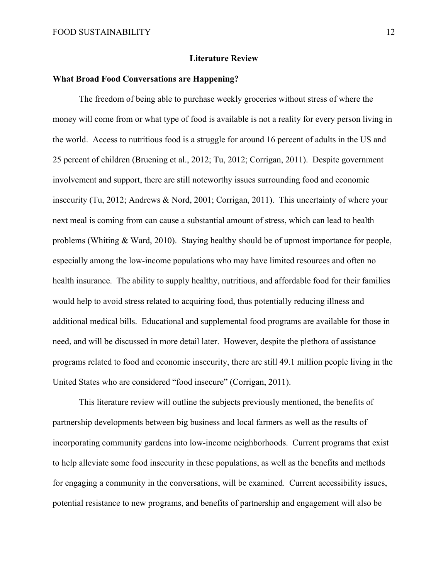#### **Literature Review**

#### **What Broad Food Conversations are Happening?**

The freedom of being able to purchase weekly groceries without stress of where the money will come from or what type of food is available is not a reality for every person living in the world. Access to nutritious food is a struggle for around 16 percent of adults in the US and 25 percent of children (Bruening et al., 2012; Tu, 2012; Corrigan, 2011). Despite government involvement and support, there are still noteworthy issues surrounding food and economic insecurity (Tu, 2012; Andrews & Nord, 2001; Corrigan, 2011). This uncertainty of where your next meal is coming from can cause a substantial amount of stress, which can lead to health problems (Whiting & Ward, 2010). Staying healthy should be of upmost importance for people, especially among the low-income populations who may have limited resources and often no health insurance. The ability to supply healthy, nutritious, and affordable food for their families would help to avoid stress related to acquiring food, thus potentially reducing illness and additional medical bills. Educational and supplemental food programs are available for those in need, and will be discussed in more detail later. However, despite the plethora of assistance programs related to food and economic insecurity, there are still 49.1 million people living in the United States who are considered "food insecure" (Corrigan, 2011).

This literature review will outline the subjects previously mentioned, the benefits of partnership developments between big business and local farmers as well as the results of incorporating community gardens into low-income neighborhoods. Current programs that exist to help alleviate some food insecurity in these populations, as well as the benefits and methods for engaging a community in the conversations, will be examined. Current accessibility issues, potential resistance to new programs, and benefits of partnership and engagement will also be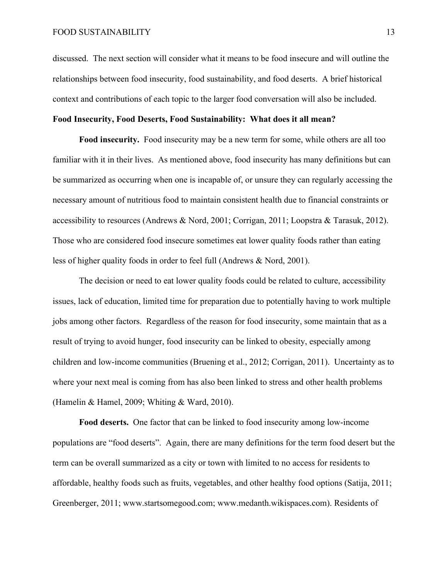discussed. The next section will consider what it means to be food insecure and will outline the relationships between food insecurity, food sustainability, and food deserts. A brief historical context and contributions of each topic to the larger food conversation will also be included.

#### **Food Insecurity, Food Deserts, Food Sustainability: What does it all mean?**

**Food insecurity.** Food insecurity may be a new term for some, while others are all too familiar with it in their lives. As mentioned above, food insecurity has many definitions but can be summarized as occurring when one is incapable of, or unsure they can regularly accessing the necessary amount of nutritious food to maintain consistent health due to financial constraints or accessibility to resources (Andrews & Nord, 2001; Corrigan, 2011; Loopstra & Tarasuk, 2012). Those who are considered food insecure sometimes eat lower quality foods rather than eating less of higher quality foods in order to feel full (Andrews & Nord, 2001).

The decision or need to eat lower quality foods could be related to culture, accessibility issues, lack of education, limited time for preparation due to potentially having to work multiple jobs among other factors. Regardless of the reason for food insecurity, some maintain that as a result of trying to avoid hunger, food insecurity can be linked to obesity, especially among children and low-income communities (Bruening et al., 2012; Corrigan, 2011). Uncertainty as to where your next meal is coming from has also been linked to stress and other health problems (Hamelin & Hamel, 2009; Whiting & Ward, 2010).

**Food deserts.** One factor that can be linked to food insecurity among low-income populations are "food deserts". Again, there are many definitions for the term food desert but the term can be overall summarized as a city or town with limited to no access for residents to affordable, healthy foods such as fruits, vegetables, and other healthy food options (Satija, 2011; Greenberger, 2011; www.startsomegood.com; www.medanth.wikispaces.com). Residents of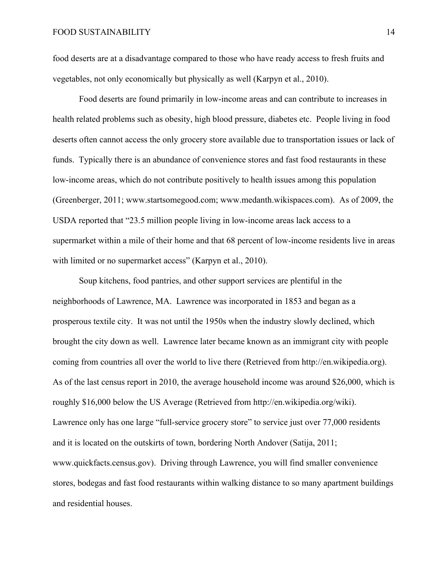food deserts are at a disadvantage compared to those who have ready access to fresh fruits and vegetables, not only economically but physically as well (Karpyn et al., 2010).

Food deserts are found primarily in low-income areas and can contribute to increases in health related problems such as obesity, high blood pressure, diabetes etc. People living in food deserts often cannot access the only grocery store available due to transportation issues or lack of funds. Typically there is an abundance of convenience stores and fast food restaurants in these low-income areas, which do not contribute positively to health issues among this population (Greenberger, 2011; www.startsomegood.com; www.medanth.wikispaces.com). As of 2009, the USDA reported that "23.5 million people living in low-income areas lack access to a supermarket within a mile of their home and that 68 percent of low-income residents live in areas with limited or no supermarket access" (Karpyn et al., 2010).

Soup kitchens, food pantries, and other support services are plentiful in the neighborhoods of Lawrence, MA. Lawrence was incorporated in 1853 and began as a prosperous textile city. It was not until the 1950s when the industry slowly declined, which brought the city down as well. Lawrence later became known as an immigrant city with people coming from countries all over the world to live there (Retrieved from http://en.wikipedia.org). As of the last census report in 2010, the average household income was around \$26,000, which is roughly \$16,000 below the US Average (Retrieved from http://en.wikipedia.org/wiki). Lawrence only has one large "full-service grocery store" to service just over 77,000 residents and it is located on the outskirts of town, bordering North Andover (Satija, 2011; www.quickfacts.census.gov). Driving through Lawrence, you will find smaller convenience stores, bodegas and fast food restaurants within walking distance to so many apartment buildings and residential houses.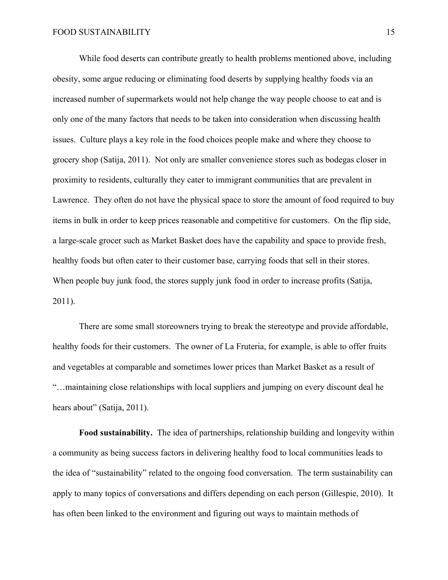While food deserts can contribute greatly to health problems mentioned above, including obesity, some argue reducing or eliminating food deserts by supplying healthy foods via an increased number of supermarkets would not help change the way people choose to eat and is only one of the many factors that needs to be taken into consideration when discussing health issues. Culture plays a key role in the food choices people make and where they choose to grocery shop (Satija, 2011). Not only are smaller convenience stores such as bodegas closer in proximity to residents, culturally they cater to immigrant communities that are prevalent in Lawrence. They often do not have the physical space to store the amount of food required to buy items in bulk in order to keep prices reasonable and competitive for customers. On the flip side, a large-scale grocer such as Market Basket does have the capability and space to provide fresh, healthy foods but often cater to their customer base, carrying foods that sell in their stores. When people buy junk food, the stores supply junk food in order to increase profits (Satija, 2011).

There are some small storeowners trying to break the stereotype and provide affordable, healthy foods for their customers. The owner of La Fruteria, for example, is able to offer fruits and vegetables at comparable and sometimes lower prices than Market Basket as a result of "…maintaining close relationships with local suppliers and jumping on every discount deal he hears about" (Satija, 2011).

**Food sustainability.** The idea of partnerships, relationship building and longevity within a community as being success factors in delivering healthy food to local communities leads to the idea of "sustainability" related to the ongoing food conversation. The term sustainability can apply to many topics of conversations and differs depending on each person (Gillespie, 2010). It has often been linked to the environment and figuring out ways to maintain methods of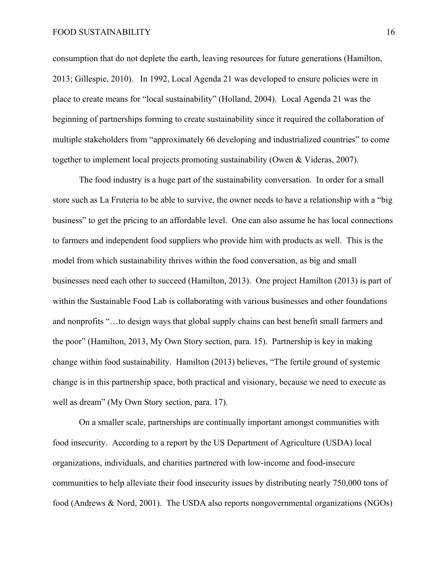consumption that do not deplete the earth, leaving resources for future generations (Hamilton, 2013; Gillespie, 2010). In 1992, Local Agenda 21 was developed to ensure policies were in place to create means for "local sustainability" (Holland, 2004). Local Agenda 21 was the beginning of partnerships forming to create sustainability since it required the collaboration of multiple stakeholders from "approximately 66 developing and industrialized countries" to come together to implement local projects promoting sustainability (Owen & Videras, 2007).

The food industry is a huge part of the sustainability conversation. In order for a small store such as La Fruteria to be able to survive, the owner needs to have a relationship with a "big business" to get the pricing to an affordable level. One can also assume he has local connections to farmers and independent food suppliers who provide him with products as well. This is the model from which sustainability thrives within the food conversation, as big and small businesses need each other to succeed (Hamilton, 2013). One project Hamilton (2013) is part of within the Sustainable Food Lab is collaborating with various businesses and other foundations and nonprofits "…to design ways that global supply chains can best benefit small farmers and the poor" (Hamilton, 2013, My Own Story section, para. 15). Partnership is key in making change within food sustainability. Hamilton (2013) believes, "The fertile ground of systemic change is in this partnership space, both practical and visionary, because we need to execute as well as dream" (My Own Story section, para. 17).

On a smaller scale, partnerships are continually important amongst communities with food insecurity. According to a report by the US Department of Agriculture (USDA) local organizations, individuals, and charities partnered with low-income and food-insecure communities to help alleviate their food insecurity issues by distributing nearly 750,000 tons of food (Andrews & Nord, 2001). The USDA also reports nongovernmental organizations (NGOs)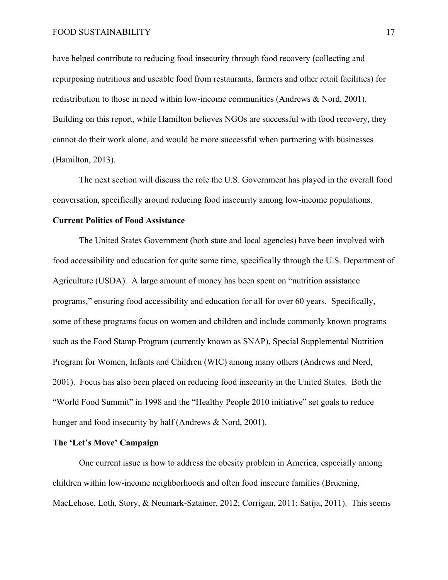have helped contribute to reducing food insecurity through food recovery (collecting and repurposing nutritious and useable food from restaurants, farmers and other retail facilities) for redistribution to those in need within low-income communities (Andrews & Nord, 2001). Building on this report, while Hamilton believes NGOs are successful with food recovery, they cannot do their work alone, and would be more successful when partnering with businesses (Hamilton, 2013).

The next section will discuss the role the U.S. Government has played in the overall food conversation, specifically around reducing food insecurity among low-income populations.

#### **Current Politics of Food Assistance**

The United States Government (both state and local agencies) have been involved with food accessibility and education for quite some time, specifically through the U.S. Department of Agriculture (USDA). A large amount of money has been spent on "nutrition assistance programs," ensuring food accessibility and education for all for over 60 years. Specifically, some of these programs focus on women and children and include commonly known programs such as the Food Stamp Program (currently known as SNAP), Special Supplemental Nutrition Program for Women, Infants and Children (WIC) among many others (Andrews and Nord, 2001). Focus has also been placed on reducing food insecurity in the United States. Both the "World Food Summit" in 1998 and the "Healthy People 2010 initiative" set goals to reduce hunger and food insecurity by half (Andrews & Nord, 2001).

#### **The 'Let's Move' Campaign**

One current issue is how to address the obesity problem in America, especially among children within low-income neighborhoods and often food insecure families (Bruening, MacLehose, Loth, Story, & Neumark-Sztainer, 2012; Corrigan, 2011; Satija, 2011). This seems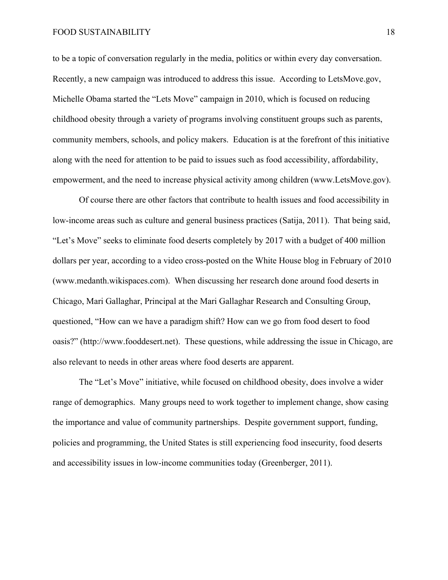to be a topic of conversation regularly in the media, politics or within every day conversation. Recently, a new campaign was introduced to address this issue. According to LetsMove.gov, Michelle Obama started the "Lets Move" campaign in 2010, which is focused on reducing childhood obesity through a variety of programs involving constituent groups such as parents, community members, schools, and policy makers. Education is at the forefront of this initiative along with the need for attention to be paid to issues such as food accessibility, affordability, empowerment, and the need to increase physical activity among children (www.LetsMove.gov).

Of course there are other factors that contribute to health issues and food accessibility in low-income areas such as culture and general business practices (Satija, 2011). That being said, "Let's Move" seeks to eliminate food deserts completely by 2017 with a budget of 400 million dollars per year, according to a video cross-posted on the White House blog in February of 2010 (www.medanth.wikispaces.com). When discussing her research done around food deserts in Chicago, Mari Gallaghar, Principal at the Mari Gallaghar Research and Consulting Group, questioned, "How can we have a paradigm shift? How can we go from food desert to food oasis?" (http://www.fooddesert.net). These questions, while addressing the issue in Chicago, are also relevant to needs in other areas where food deserts are apparent.

The "Let's Move" initiative, while focused on childhood obesity, does involve a wider range of demographics. Many groups need to work together to implement change, show casing the importance and value of community partnerships. Despite government support, funding, policies and programming, the United States is still experiencing food insecurity, food deserts and accessibility issues in low-income communities today (Greenberger, 2011).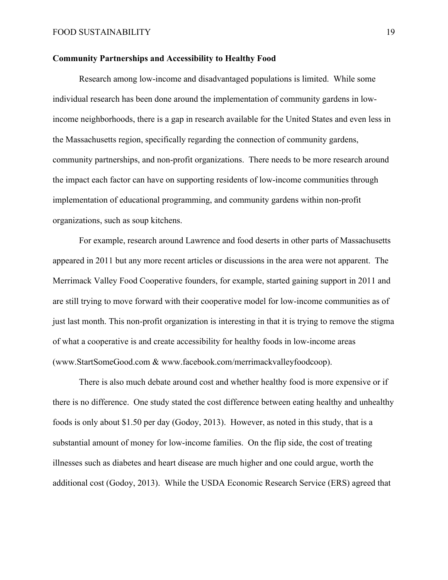#### **Community Partnerships and Accessibility to Healthy Food**

Research among low-income and disadvantaged populations is limited. While some individual research has been done around the implementation of community gardens in lowincome neighborhoods, there is a gap in research available for the United States and even less in the Massachusetts region, specifically regarding the connection of community gardens, community partnerships, and non-profit organizations. There needs to be more research around the impact each factor can have on supporting residents of low-income communities through implementation of educational programming, and community gardens within non-profit organizations, such as soup kitchens.

For example, research around Lawrence and food deserts in other parts of Massachusetts appeared in 2011 but any more recent articles or discussions in the area were not apparent. The Merrimack Valley Food Cooperative founders, for example, started gaining support in 2011 and are still trying to move forward with their cooperative model for low-income communities as of just last month. This non-profit organization is interesting in that it is trying to remove the stigma of what a cooperative is and create accessibility for healthy foods in low-income areas (www.StartSomeGood.com & www.facebook.com/merrimackvalleyfoodcoop).

There is also much debate around cost and whether healthy food is more expensive or if there is no difference. One study stated the cost difference between eating healthy and unhealthy foods is only about \$1.50 per day (Godoy, 2013). However, as noted in this study, that is a substantial amount of money for low-income families. On the flip side, the cost of treating illnesses such as diabetes and heart disease are much higher and one could argue, worth the additional cost (Godoy, 2013). While the USDA Economic Research Service (ERS) agreed that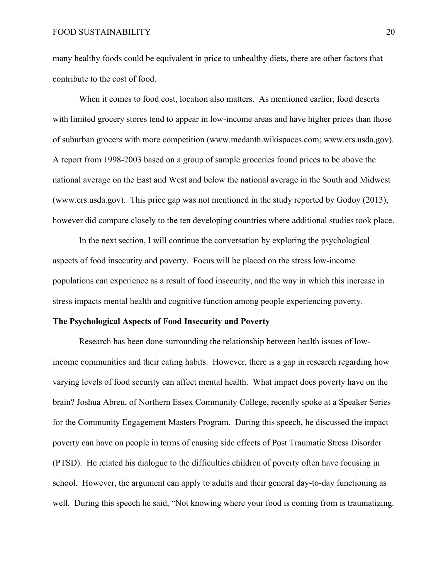many healthy foods could be equivalent in price to unhealthy diets, there are other factors that contribute to the cost of food.

When it comes to food cost, location also matters. As mentioned earlier, food deserts with limited grocery stores tend to appear in low-income areas and have higher prices than those of suburban grocers with more competition (www.medanth.wikispaces.com; www.ers.usda.gov). A report from 1998-2003 based on a group of sample groceries found prices to be above the national average on the East and West and below the national average in the South and Midwest (www.ers.usda.gov). This price gap was not mentioned in the study reported by Godoy (2013), however did compare closely to the ten developing countries where additional studies took place.

In the next section, I will continue the conversation by exploring the psychological aspects of food insecurity and poverty. Focus will be placed on the stress low-income populations can experience as a result of food insecurity, and the way in which this increase in stress impacts mental health and cognitive function among people experiencing poverty.

#### **The Psychological Aspects of Food Insecurity and Poverty**

Research has been done surrounding the relationship between health issues of lowincome communities and their eating habits. However, there is a gap in research regarding how varying levels of food security can affect mental health. What impact does poverty have on the brain? Joshua Abreu, of Northern Essex Community College, recently spoke at a Speaker Series for the Community Engagement Masters Program. During this speech, he discussed the impact poverty can have on people in terms of causing side effects of Post Traumatic Stress Disorder (PTSD). He related his dialogue to the difficulties children of poverty often have focusing in school. However, the argument can apply to adults and their general day-to-day functioning as well. During this speech he said, "Not knowing where your food is coming from is traumatizing.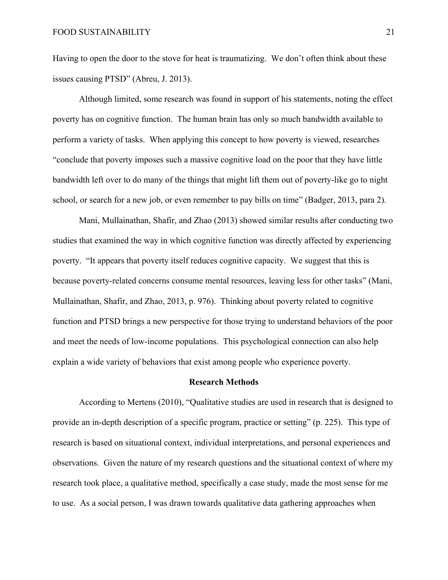Having to open the door to the stove for heat is traumatizing. We don't often think about these issues causing PTSD" (Abreu, J. 2013).

Although limited, some research was found in support of his statements, noting the effect poverty has on cognitive function. The human brain has only so much bandwidth available to perform a variety of tasks. When applying this concept to how poverty is viewed, researches "conclude that poverty imposes such a massive cognitive load on the poor that they have little bandwidth left over to do many of the things that might lift them out of poverty-like go to night school, or search for a new job, or even remember to pay bills on time" (Badger, 2013, para 2).

Mani, Mullainathan, Shafir, and Zhao (2013) showed similar results after conducting two studies that examined the way in which cognitive function was directly affected by experiencing poverty. "It appears that poverty itself reduces cognitive capacity. We suggest that this is because poverty-related concerns consume mental resources, leaving less for other tasks" (Mani, Mullainathan, Shafir, and Zhao, 2013, p. 976). Thinking about poverty related to cognitive function and PTSD brings a new perspective for those trying to understand behaviors of the poor and meet the needs of low-income populations. This psychological connection can also help explain a wide variety of behaviors that exist among people who experience poverty.

#### **Research Methods**

According to Mertens (2010), "Qualitative studies are used in research that is designed to provide an in-depth description of a specific program, practice or setting" (p. 225). This type of research is based on situational context, individual interpretations, and personal experiences and observations. Given the nature of my research questions and the situational context of where my research took place, a qualitative method, specifically a case study, made the most sense for me to use. As a social person, I was drawn towards qualitative data gathering approaches when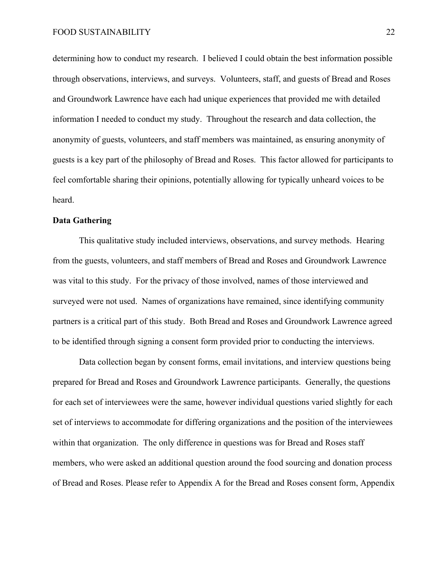determining how to conduct my research. I believed I could obtain the best information possible through observations, interviews, and surveys. Volunteers, staff, and guests of Bread and Roses and Groundwork Lawrence have each had unique experiences that provided me with detailed information I needed to conduct my study. Throughout the research and data collection, the anonymity of guests, volunteers, and staff members was maintained, as ensuring anonymity of guests is a key part of the philosophy of Bread and Roses. This factor allowed for participants to feel comfortable sharing their opinions, potentially allowing for typically unheard voices to be heard.

#### **Data Gathering**

This qualitative study included interviews, observations, and survey methods. Hearing from the guests, volunteers, and staff members of Bread and Roses and Groundwork Lawrence was vital to this study. For the privacy of those involved, names of those interviewed and surveyed were not used. Names of organizations have remained, since identifying community partners is a critical part of this study. Both Bread and Roses and Groundwork Lawrence agreed to be identified through signing a consent form provided prior to conducting the interviews.

Data collection began by consent forms, email invitations, and interview questions being prepared for Bread and Roses and Groundwork Lawrence participants. Generally, the questions for each set of interviewees were the same, however individual questions varied slightly for each set of interviews to accommodate for differing organizations and the position of the interviewees within that organization. The only difference in questions was for Bread and Roses staff members, who were asked an additional question around the food sourcing and donation process of Bread and Roses. Please refer to Appendix A for the Bread and Roses consent form, Appendix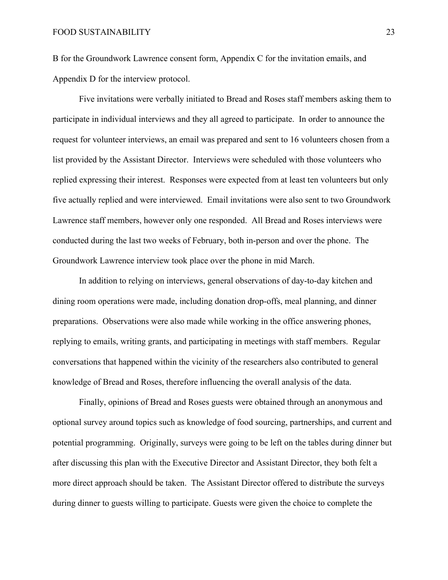B for the Groundwork Lawrence consent form, Appendix C for the invitation emails, and Appendix D for the interview protocol.

Five invitations were verbally initiated to Bread and Roses staff members asking them to participate in individual interviews and they all agreed to participate. In order to announce the request for volunteer interviews, an email was prepared and sent to 16 volunteers chosen from a list provided by the Assistant Director. Interviews were scheduled with those volunteers who replied expressing their interest. Responses were expected from at least ten volunteers but only five actually replied and were interviewed. Email invitations were also sent to two Groundwork Lawrence staff members, however only one responded. All Bread and Roses interviews were conducted during the last two weeks of February, both in-person and over the phone. The Groundwork Lawrence interview took place over the phone in mid March.

In addition to relying on interviews, general observations of day-to-day kitchen and dining room operations were made, including donation drop-offs, meal planning, and dinner preparations. Observations were also made while working in the office answering phones, replying to emails, writing grants, and participating in meetings with staff members. Regular conversations that happened within the vicinity of the researchers also contributed to general knowledge of Bread and Roses, therefore influencing the overall analysis of the data.

Finally, opinions of Bread and Roses guests were obtained through an anonymous and optional survey around topics such as knowledge of food sourcing, partnerships, and current and potential programming. Originally, surveys were going to be left on the tables during dinner but after discussing this plan with the Executive Director and Assistant Director, they both felt a more direct approach should be taken. The Assistant Director offered to distribute the surveys during dinner to guests willing to participate. Guests were given the choice to complete the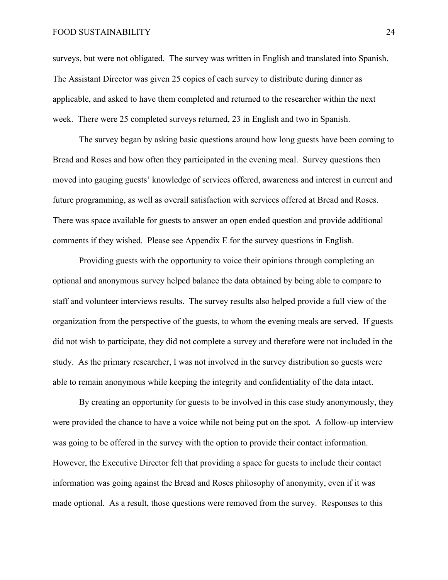#### FOOD SUSTAINABILITY 24

surveys, but were not obligated. The survey was written in English and translated into Spanish. The Assistant Director was given 25 copies of each survey to distribute during dinner as applicable, and asked to have them completed and returned to the researcher within the next week. There were 25 completed surveys returned, 23 in English and two in Spanish.

The survey began by asking basic questions around how long guests have been coming to Bread and Roses and how often they participated in the evening meal. Survey questions then moved into gauging guests' knowledge of services offered, awareness and interest in current and future programming, as well as overall satisfaction with services offered at Bread and Roses. There was space available for guests to answer an open ended question and provide additional comments if they wished. Please see Appendix E for the survey questions in English.

Providing guests with the opportunity to voice their opinions through completing an optional and anonymous survey helped balance the data obtained by being able to compare to staff and volunteer interviews results. The survey results also helped provide a full view of the organization from the perspective of the guests, to whom the evening meals are served. If guests did not wish to participate, they did not complete a survey and therefore were not included in the study. As the primary researcher, I was not involved in the survey distribution so guests were able to remain anonymous while keeping the integrity and confidentiality of the data intact.

By creating an opportunity for guests to be involved in this case study anonymously, they were provided the chance to have a voice while not being put on the spot. A follow-up interview was going to be offered in the survey with the option to provide their contact information. However, the Executive Director felt that providing a space for guests to include their contact information was going against the Bread and Roses philosophy of anonymity, even if it was made optional. As a result, those questions were removed from the survey. Responses to this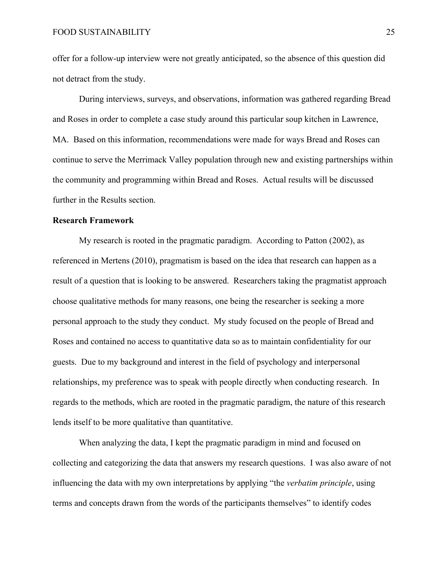offer for a follow-up interview were not greatly anticipated, so the absence of this question did not detract from the study.

During interviews, surveys, and observations, information was gathered regarding Bread and Roses in order to complete a case study around this particular soup kitchen in Lawrence, MA. Based on this information, recommendations were made for ways Bread and Roses can continue to serve the Merrimack Valley population through new and existing partnerships within the community and programming within Bread and Roses. Actual results will be discussed further in the Results section.

#### **Research Framework**

My research is rooted in the pragmatic paradigm. According to Patton (2002), as referenced in Mertens (2010), pragmatism is based on the idea that research can happen as a result of a question that is looking to be answered. Researchers taking the pragmatist approach choose qualitative methods for many reasons, one being the researcher is seeking a more personal approach to the study they conduct. My study focused on the people of Bread and Roses and contained no access to quantitative data so as to maintain confidentiality for our guests. Due to my background and interest in the field of psychology and interpersonal relationships, my preference was to speak with people directly when conducting research. In regards to the methods, which are rooted in the pragmatic paradigm, the nature of this research lends itself to be more qualitative than quantitative.

When analyzing the data, I kept the pragmatic paradigm in mind and focused on collecting and categorizing the data that answers my research questions. I was also aware of not influencing the data with my own interpretations by applying "the *verbatim principle*, using terms and concepts drawn from the words of the participants themselves" to identify codes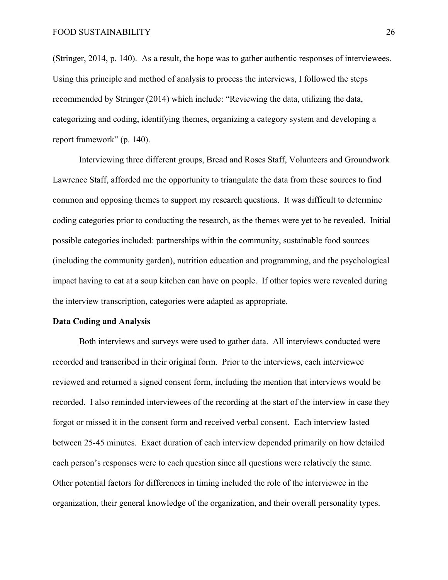(Stringer, 2014, p. 140). As a result, the hope was to gather authentic responses of interviewees. Using this principle and method of analysis to process the interviews, I followed the steps recommended by Stringer (2014) which include: "Reviewing the data, utilizing the data, categorizing and coding, identifying themes, organizing a category system and developing a report framework" (p. 140).

Interviewing three different groups, Bread and Roses Staff, Volunteers and Groundwork Lawrence Staff, afforded me the opportunity to triangulate the data from these sources to find common and opposing themes to support my research questions. It was difficult to determine coding categories prior to conducting the research, as the themes were yet to be revealed. Initial possible categories included: partnerships within the community, sustainable food sources (including the community garden), nutrition education and programming, and the psychological impact having to eat at a soup kitchen can have on people. If other topics were revealed during the interview transcription, categories were adapted as appropriate.

#### **Data Coding and Analysis**

Both interviews and surveys were used to gather data. All interviews conducted were recorded and transcribed in their original form. Prior to the interviews, each interviewee reviewed and returned a signed consent form, including the mention that interviews would be recorded. I also reminded interviewees of the recording at the start of the interview in case they forgot or missed it in the consent form and received verbal consent. Each interview lasted between 25-45 minutes. Exact duration of each interview depended primarily on how detailed each person's responses were to each question since all questions were relatively the same. Other potential factors for differences in timing included the role of the interviewee in the organization, their general knowledge of the organization, and their overall personality types.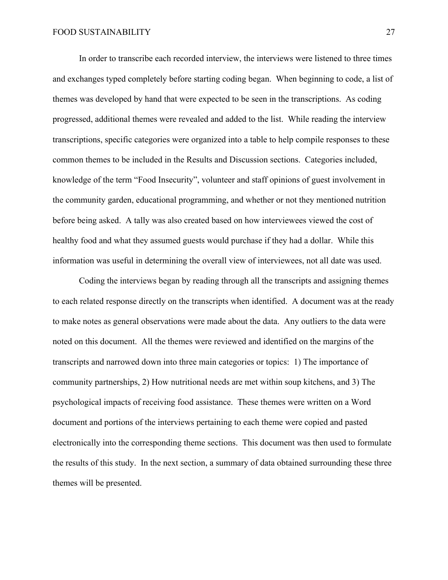In order to transcribe each recorded interview, the interviews were listened to three times and exchanges typed completely before starting coding began. When beginning to code, a list of themes was developed by hand that were expected to be seen in the transcriptions. As coding progressed, additional themes were revealed and added to the list. While reading the interview transcriptions, specific categories were organized into a table to help compile responses to these common themes to be included in the Results and Discussion sections. Categories included, knowledge of the term "Food Insecurity", volunteer and staff opinions of guest involvement in the community garden, educational programming, and whether or not they mentioned nutrition before being asked. A tally was also created based on how interviewees viewed the cost of healthy food and what they assumed guests would purchase if they had a dollar. While this information was useful in determining the overall view of interviewees, not all date was used.

Coding the interviews began by reading through all the transcripts and assigning themes to each related response directly on the transcripts when identified. A document was at the ready to make notes as general observations were made about the data. Any outliers to the data were noted on this document. All the themes were reviewed and identified on the margins of the transcripts and narrowed down into three main categories or topics: 1) The importance of community partnerships, 2) How nutritional needs are met within soup kitchens, and 3) The psychological impacts of receiving food assistance. These themes were written on a Word document and portions of the interviews pertaining to each theme were copied and pasted electronically into the corresponding theme sections. This document was then used to formulate the results of this study. In the next section, a summary of data obtained surrounding these three themes will be presented.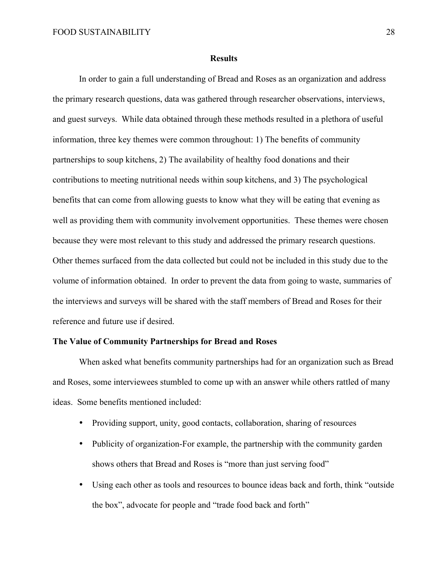#### **Results**

In order to gain a full understanding of Bread and Roses as an organization and address the primary research questions, data was gathered through researcher observations, interviews, and guest surveys. While data obtained through these methods resulted in a plethora of useful information, three key themes were common throughout: 1) The benefits of community partnerships to soup kitchens, 2) The availability of healthy food donations and their contributions to meeting nutritional needs within soup kitchens, and 3) The psychological benefits that can come from allowing guests to know what they will be eating that evening as well as providing them with community involvement opportunities. These themes were chosen because they were most relevant to this study and addressed the primary research questions. Other themes surfaced from the data collected but could not be included in this study due to the volume of information obtained. In order to prevent the data from going to waste, summaries of the interviews and surveys will be shared with the staff members of Bread and Roses for their reference and future use if desired.

#### **The Value of Community Partnerships for Bread and Roses**

When asked what benefits community partnerships had for an organization such as Bread and Roses, some interviewees stumbled to come up with an answer while others rattled of many ideas. Some benefits mentioned included:

- Providing support, unity, good contacts, collaboration, sharing of resources
- Publicity of organization-For example, the partnership with the community garden shows others that Bread and Roses is "more than just serving food"
- Using each other as tools and resources to bounce ideas back and forth, think "outside the box", advocate for people and "trade food back and forth"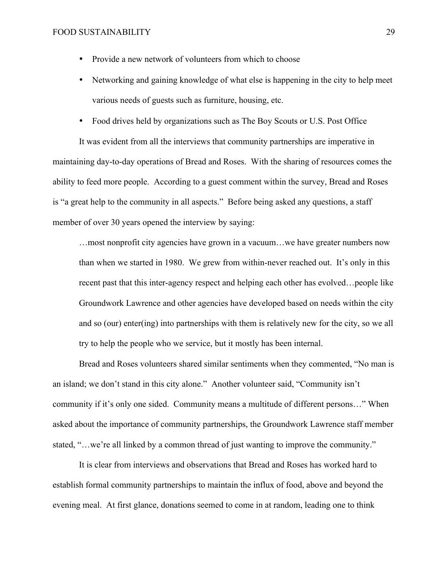- Provide a new network of volunteers from which to choose
- Networking and gaining knowledge of what else is happening in the city to help meet various needs of guests such as furniture, housing, etc.
- Food drives held by organizations such as The Boy Scouts or U.S. Post Office

It was evident from all the interviews that community partnerships are imperative in maintaining day-to-day operations of Bread and Roses. With the sharing of resources comes the ability to feed more people. According to a guest comment within the survey, Bread and Roses is "a great help to the community in all aspects." Before being asked any questions, a staff member of over 30 years opened the interview by saying:

…most nonprofit city agencies have grown in a vacuum…we have greater numbers now than when we started in 1980. We grew from within-never reached out. It's only in this recent past that this inter-agency respect and helping each other has evolved…people like Groundwork Lawrence and other agencies have developed based on needs within the city and so (our) enter(ing) into partnerships with them is relatively new for the city, so we all try to help the people who we service, but it mostly has been internal.

Bread and Roses volunteers shared similar sentiments when they commented, "No man is an island; we don't stand in this city alone." Another volunteer said, "Community isn't community if it's only one sided. Community means a multitude of different persons…" When asked about the importance of community partnerships, the Groundwork Lawrence staff member stated, "…we're all linked by a common thread of just wanting to improve the community."

It is clear from interviews and observations that Bread and Roses has worked hard to establish formal community partnerships to maintain the influx of food, above and beyond the evening meal. At first glance, donations seemed to come in at random, leading one to think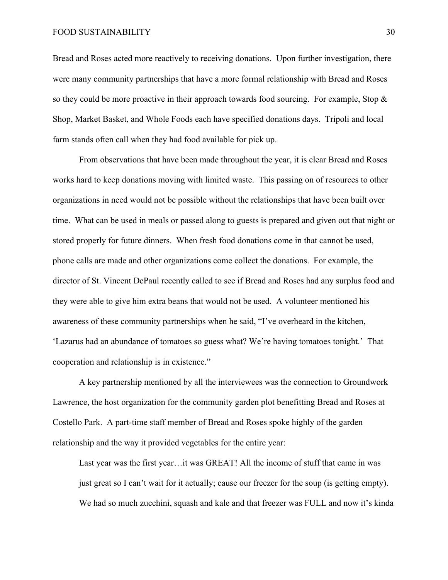#### FOOD SUSTAINABILITY 30

Bread and Roses acted more reactively to receiving donations. Upon further investigation, there were many community partnerships that have a more formal relationship with Bread and Roses so they could be more proactive in their approach towards food sourcing. For example, Stop & Shop, Market Basket, and Whole Foods each have specified donations days. Tripoli and local farm stands often call when they had food available for pick up.

From observations that have been made throughout the year, it is clear Bread and Roses works hard to keep donations moving with limited waste. This passing on of resources to other organizations in need would not be possible without the relationships that have been built over time. What can be used in meals or passed along to guests is prepared and given out that night or stored properly for future dinners. When fresh food donations come in that cannot be used, phone calls are made and other organizations come collect the donations. For example, the director of St. Vincent DePaul recently called to see if Bread and Roses had any surplus food and they were able to give him extra beans that would not be used. A volunteer mentioned his awareness of these community partnerships when he said, "I've overheard in the kitchen, 'Lazarus had an abundance of tomatoes so guess what? We're having tomatoes tonight.' That cooperation and relationship is in existence."

A key partnership mentioned by all the interviewees was the connection to Groundwork Lawrence, the host organization for the community garden plot benefitting Bread and Roses at Costello Park. A part-time staff member of Bread and Roses spoke highly of the garden relationship and the way it provided vegetables for the entire year:

Last year was the first year…it was GREAT! All the income of stuff that came in was just great so I can't wait for it actually; cause our freezer for the soup (is getting empty). We had so much zucchini, squash and kale and that freezer was FULL and now it's kinda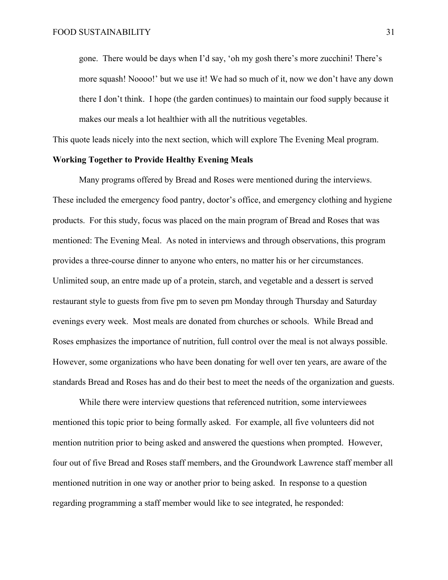gone. There would be days when I'd say, 'oh my gosh there's more zucchini! There's more squash! Noooo!' but we use it! We had so much of it, now we don't have any down there I don't think. I hope (the garden continues) to maintain our food supply because it makes our meals a lot healthier with all the nutritious vegetables.

This quote leads nicely into the next section, which will explore The Evening Meal program.

#### **Working Together to Provide Healthy Evening Meals**

Many programs offered by Bread and Roses were mentioned during the interviews. These included the emergency food pantry, doctor's office, and emergency clothing and hygiene products. For this study, focus was placed on the main program of Bread and Roses that was mentioned: The Evening Meal. As noted in interviews and through observations, this program provides a three-course dinner to anyone who enters, no matter his or her circumstances. Unlimited soup, an entre made up of a protein, starch, and vegetable and a dessert is served restaurant style to guests from five pm to seven pm Monday through Thursday and Saturday evenings every week. Most meals are donated from churches or schools. While Bread and Roses emphasizes the importance of nutrition, full control over the meal is not always possible. However, some organizations who have been donating for well over ten years, are aware of the standards Bread and Roses has and do their best to meet the needs of the organization and guests.

While there were interview questions that referenced nutrition, some interviewees mentioned this topic prior to being formally asked. For example, all five volunteers did not mention nutrition prior to being asked and answered the questions when prompted. However, four out of five Bread and Roses staff members, and the Groundwork Lawrence staff member all mentioned nutrition in one way or another prior to being asked. In response to a question regarding programming a staff member would like to see integrated, he responded: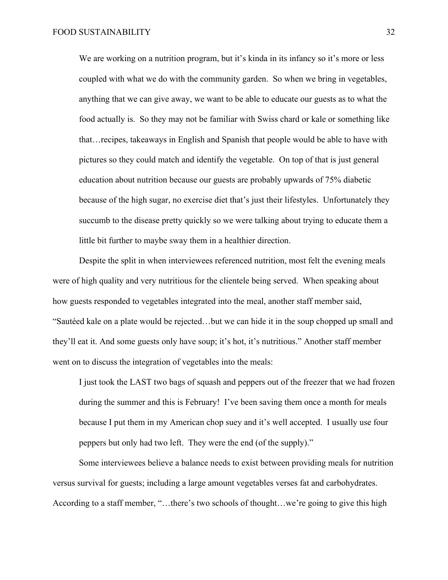We are working on a nutrition program, but it's kinda in its infancy so it's more or less coupled with what we do with the community garden. So when we bring in vegetables, anything that we can give away, we want to be able to educate our guests as to what the food actually is. So they may not be familiar with Swiss chard or kale or something like that…recipes, takeaways in English and Spanish that people would be able to have with pictures so they could match and identify the vegetable. On top of that is just general education about nutrition because our guests are probably upwards of 75% diabetic because of the high sugar, no exercise diet that's just their lifestyles. Unfortunately they succumb to the disease pretty quickly so we were talking about trying to educate them a little bit further to maybe sway them in a healthier direction.

Despite the split in when interviewees referenced nutrition, most felt the evening meals were of high quality and very nutritious for the clientele being served. When speaking about how guests responded to vegetables integrated into the meal, another staff member said, "Sautéed kale on a plate would be rejected…but we can hide it in the soup chopped up small and they'll eat it. And some guests only have soup; it's hot, it's nutritious." Another staff member went on to discuss the integration of vegetables into the meals:

I just took the LAST two bags of squash and peppers out of the freezer that we had frozen during the summer and this is February! I've been saving them once a month for meals because I put them in my American chop suey and it's well accepted. I usually use four peppers but only had two left. They were the end (of the supply)."

Some interviewees believe a balance needs to exist between providing meals for nutrition versus survival for guests; including a large amount vegetables verses fat and carbohydrates. According to a staff member, "…there's two schools of thought…we're going to give this high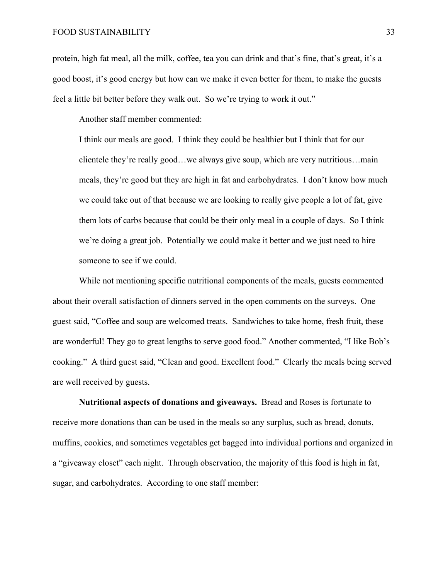#### FOOD SUSTAINABILITY 33

protein, high fat meal, all the milk, coffee, tea you can drink and that's fine, that's great, it's a good boost, it's good energy but how can we make it even better for them, to make the guests feel a little bit better before they walk out. So we're trying to work it out."

Another staff member commented:

I think our meals are good. I think they could be healthier but I think that for our clientele they're really good…we always give soup, which are very nutritious…main meals, they're good but they are high in fat and carbohydrates. I don't know how much we could take out of that because we are looking to really give people a lot of fat, give them lots of carbs because that could be their only meal in a couple of days. So I think we're doing a great job. Potentially we could make it better and we just need to hire someone to see if we could.

While not mentioning specific nutritional components of the meals, guests commented about their overall satisfaction of dinners served in the open comments on the surveys. One guest said, "Coffee and soup are welcomed treats. Sandwiches to take home, fresh fruit, these are wonderful! They go to great lengths to serve good food." Another commented, "I like Bob's cooking." A third guest said, "Clean and good. Excellent food." Clearly the meals being served are well received by guests.

**Nutritional aspects of donations and giveaways.** Bread and Roses is fortunate to receive more donations than can be used in the meals so any surplus, such as bread, donuts, muffins, cookies, and sometimes vegetables get bagged into individual portions and organized in a "giveaway closet" each night. Through observation, the majority of this food is high in fat, sugar, and carbohydrates. According to one staff member: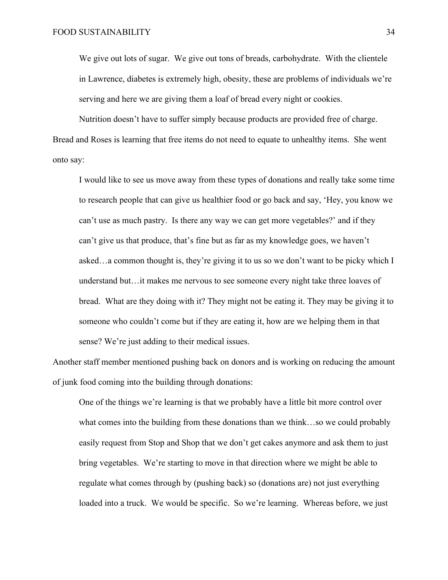We give out lots of sugar. We give out tons of breads, carbohydrate. With the clientele in Lawrence, diabetes is extremely high, obesity, these are problems of individuals we're serving and here we are giving them a loaf of bread every night or cookies.

Nutrition doesn't have to suffer simply because products are provided free of charge. Bread and Roses is learning that free items do not need to equate to unhealthy items. She went onto say:

I would like to see us move away from these types of donations and really take some time to research people that can give us healthier food or go back and say, 'Hey, you know we can't use as much pastry. Is there any way we can get more vegetables?' and if they can't give us that produce, that's fine but as far as my knowledge goes, we haven't asked…a common thought is, they're giving it to us so we don't want to be picky which I understand but…it makes me nervous to see someone every night take three loaves of bread. What are they doing with it? They might not be eating it. They may be giving it to someone who couldn't come but if they are eating it, how are we helping them in that sense? We're just adding to their medical issues.

Another staff member mentioned pushing back on donors and is working on reducing the amount of junk food coming into the building through donations:

One of the things we're learning is that we probably have a little bit more control over what comes into the building from these donations than we think…so we could probably easily request from Stop and Shop that we don't get cakes anymore and ask them to just bring vegetables. We're starting to move in that direction where we might be able to regulate what comes through by (pushing back) so (donations are) not just everything loaded into a truck. We would be specific. So we're learning. Whereas before, we just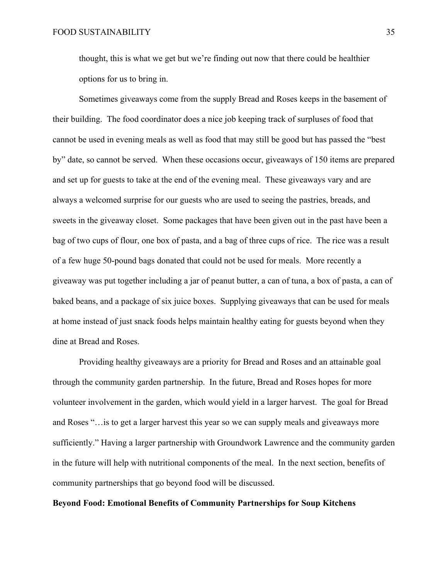thought, this is what we get but we're finding out now that there could be healthier options for us to bring in.

Sometimes giveaways come from the supply Bread and Roses keeps in the basement of their building. The food coordinator does a nice job keeping track of surpluses of food that cannot be used in evening meals as well as food that may still be good but has passed the "best by" date, so cannot be served. When these occasions occur, giveaways of 150 items are prepared and set up for guests to take at the end of the evening meal. These giveaways vary and are always a welcomed surprise for our guests who are used to seeing the pastries, breads, and sweets in the giveaway closet. Some packages that have been given out in the past have been a bag of two cups of flour, one box of pasta, and a bag of three cups of rice. The rice was a result of a few huge 50-pound bags donated that could not be used for meals. More recently a giveaway was put together including a jar of peanut butter, a can of tuna, a box of pasta, a can of baked beans, and a package of six juice boxes. Supplying giveaways that can be used for meals at home instead of just snack foods helps maintain healthy eating for guests beyond when they dine at Bread and Roses.

Providing healthy giveaways are a priority for Bread and Roses and an attainable goal through the community garden partnership. In the future, Bread and Roses hopes for more volunteer involvement in the garden, which would yield in a larger harvest. The goal for Bread and Roses "…is to get a larger harvest this year so we can supply meals and giveaways more sufficiently." Having a larger partnership with Groundwork Lawrence and the community garden in the future will help with nutritional components of the meal. In the next section, benefits of community partnerships that go beyond food will be discussed.

#### **Beyond Food: Emotional Benefits of Community Partnerships for Soup Kitchens**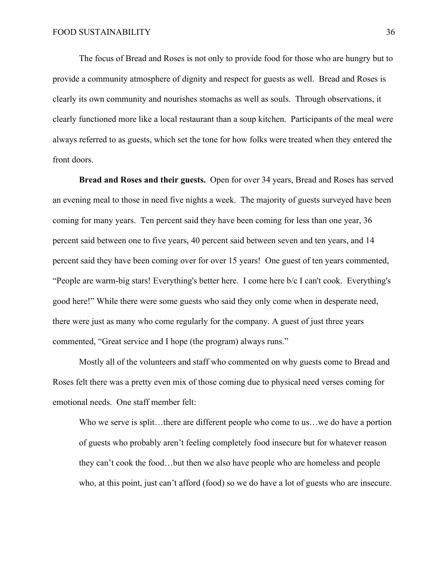The focus of Bread and Roses is not only to provide food for those who are hungry but to provide a community atmosphere of dignity and respect for guests as well. Bread and Roses is clearly its own community and nourishes stomachs as well as souls. Through observations, it clearly functioned more like a local restaurant than a soup kitchen. Participants of the meal were always referred to as guests, which set the tone for how folks were treated when they entered the front doors.

**Bread and Roses and their guests.** Open for over 34 years, Bread and Roses has served an evening meal to those in need five nights a week. The majority of guests surveyed have been coming for many years. Ten percent said they have been coming for less than one year, 36 percent said between one to five years, 40 percent said between seven and ten years, and 14 percent said they have been coming over for over 15 years! One guest of ten years commented, "People are warm-big stars! Everything's better here. I come here b/c I can't cook. Everything's good here!" While there were some guests who said they only come when in desperate need, there were just as many who come regularly for the company. A guest of just three years commented, "Great service and I hope (the program) always runs."

Mostly all of the volunteers and staff who commented on why guests come to Bread and Roses felt there was a pretty even mix of those coming due to physical need verses coming for emotional needs. One staff member felt:

Who we serve is split...there are different people who come to us...we do have a portion of guests who probably aren't feeling completely food insecure but for whatever reason they can't cook the food…but then we also have people who are homeless and people who, at this point, just can't afford (food) so we do have a lot of guests who are insecure.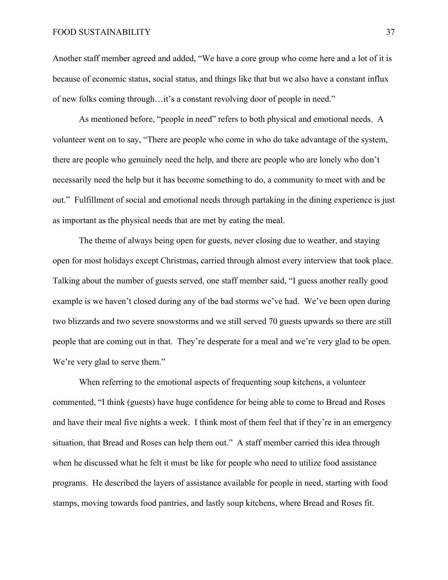Another staff member agreed and added, "We have a core group who come here and a lot of it is because of economic status, social status, and things like that but we also have a constant influx of new folks coming through…it's a constant revolving door of people in need."

As mentioned before, "people in need" refers to both physical and emotional needs. A volunteer went on to say, "There are people who come in who do take advantage of the system, there are people who genuinely need the help, and there are people who are lonely who don't necessarily need the help but it has become something to do, a community to meet with and be out." Fulfillment of social and emotional needs through partaking in the dining experience is just as important as the physical needs that are met by eating the meal.

The theme of always being open for guests, never closing due to weather, and staying open for most holidays except Christmas, carried through almost every interview that took place. Talking about the number of guests served, one staff member said, "I guess another really good example is we haven't closed during any of the bad storms we've had. We've been open during two blizzards and two severe snowstorms and we still served 70 guests upwards so there are still people that are coming out in that. They're desperate for a meal and we're very glad to be open. We're very glad to serve them."

When referring to the emotional aspects of frequenting soup kitchens, a volunteer commented, "I think (guests) have huge confidence for being able to come to Bread and Roses and have their meal five nights a week. I think most of them feel that if they're in an emergency situation, that Bread and Roses can help them out." A staff member carried this idea through when he discussed what he felt it must be like for people who need to utilize food assistance programs. He described the layers of assistance available for people in need, starting with food stamps, moving towards food pantries, and lastly soup kitchens, where Bread and Roses fit.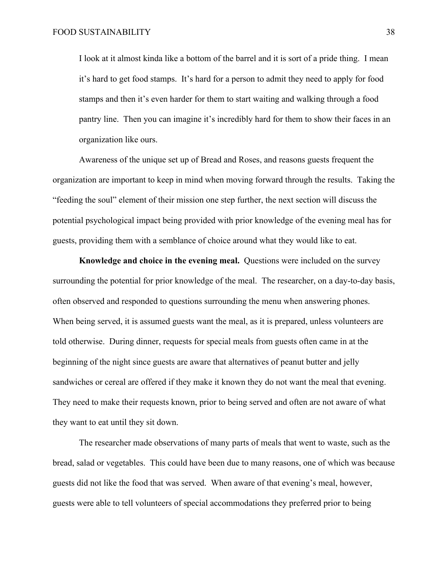I look at it almost kinda like a bottom of the barrel and it is sort of a pride thing. I mean it's hard to get food stamps. It's hard for a person to admit they need to apply for food stamps and then it's even harder for them to start waiting and walking through a food pantry line. Then you can imagine it's incredibly hard for them to show their faces in an organization like ours.

Awareness of the unique set up of Bread and Roses, and reasons guests frequent the organization are important to keep in mind when moving forward through the results. Taking the "feeding the soul" element of their mission one step further, the next section will discuss the potential psychological impact being provided with prior knowledge of the evening meal has for guests, providing them with a semblance of choice around what they would like to eat.

**Knowledge and choice in the evening meal.** Questions were included on the survey surrounding the potential for prior knowledge of the meal. The researcher, on a day-to-day basis, often observed and responded to questions surrounding the menu when answering phones. When being served, it is assumed guests want the meal, as it is prepared, unless volunteers are told otherwise. During dinner, requests for special meals from guests often came in at the beginning of the night since guests are aware that alternatives of peanut butter and jelly sandwiches or cereal are offered if they make it known they do not want the meal that evening. They need to make their requests known, prior to being served and often are not aware of what they want to eat until they sit down.

The researcher made observations of many parts of meals that went to waste, such as the bread, salad or vegetables. This could have been due to many reasons, one of which was because guests did not like the food that was served. When aware of that evening's meal, however, guests were able to tell volunteers of special accommodations they preferred prior to being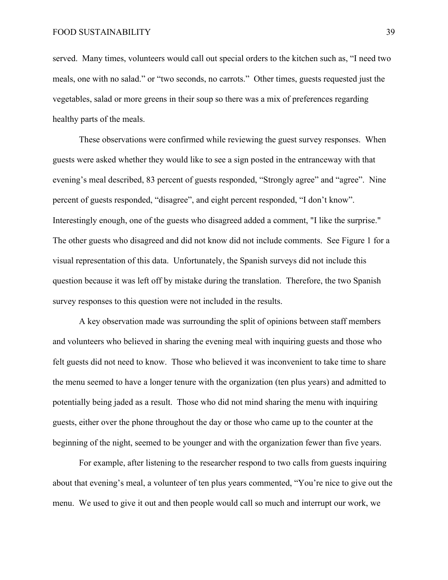served. Many times, volunteers would call out special orders to the kitchen such as, "I need two meals, one with no salad." or "two seconds, no carrots." Other times, guests requested just the vegetables, salad or more greens in their soup so there was a mix of preferences regarding healthy parts of the meals.

These observations were confirmed while reviewing the guest survey responses. When guests were asked whether they would like to see a sign posted in the entranceway with that evening's meal described, 83 percent of guests responded, "Strongly agree" and "agree". Nine percent of guests responded, "disagree", and eight percent responded, "I don't know". Interestingly enough, one of the guests who disagreed added a comment, "I like the surprise." The other guests who disagreed and did not know did not include comments. See Figure 1 for a visual representation of this data. Unfortunately, the Spanish surveys did not include this question because it was left off by mistake during the translation. Therefore, the two Spanish survey responses to this question were not included in the results.

A key observation made was surrounding the split of opinions between staff members and volunteers who believed in sharing the evening meal with inquiring guests and those who felt guests did not need to know. Those who believed it was inconvenient to take time to share the menu seemed to have a longer tenure with the organization (ten plus years) and admitted to potentially being jaded as a result. Those who did not mind sharing the menu with inquiring guests, either over the phone throughout the day or those who came up to the counter at the beginning of the night, seemed to be younger and with the organization fewer than five years.

For example, after listening to the researcher respond to two calls from guests inquiring about that evening's meal, a volunteer of ten plus years commented, "You're nice to give out the menu. We used to give it out and then people would call so much and interrupt our work, we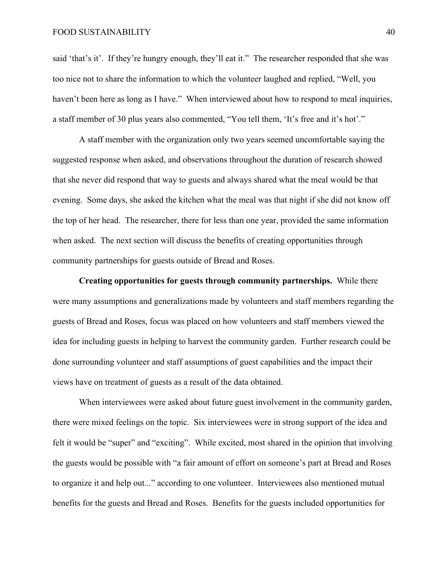#### FOOD SUSTAINABILITY 40

said 'that's it'. If they're hungry enough, they'll eat it." The researcher responded that she was too nice not to share the information to which the volunteer laughed and replied, "Well, you haven't been here as long as I have." When interviewed about how to respond to meal inquiries, a staff member of 30 plus years also commented, "You tell them, 'It's free and it's hot'."

A staff member with the organization only two years seemed uncomfortable saying the suggested response when asked, and observations throughout the duration of research showed that she never did respond that way to guests and always shared what the meal would be that evening. Some days, she asked the kitchen what the meal was that night if she did not know off the top of her head. The researcher, there for less than one year, provided the same information when asked. The next section will discuss the benefits of creating opportunities through community partnerships for guests outside of Bread and Roses.

**Creating opportunities for guests through community partnerships.** While there were many assumptions and generalizations made by volunteers and staff members regarding the guests of Bread and Roses, focus was placed on how volunteers and staff members viewed the idea for including guests in helping to harvest the community garden. Further research could be done surrounding volunteer and staff assumptions of guest capabilities and the impact their views have on treatment of guests as a result of the data obtained.

When interviewees were asked about future guest involvement in the community garden, there were mixed feelings on the topic. Six interviewees were in strong support of the idea and felt it would be "super" and "exciting". While excited, most shared in the opinion that involving the guests would be possible with "a fair amount of effort on someone's part at Bread and Roses to organize it and help out..." according to one volunteer. Interviewees also mentioned mutual benefits for the guests and Bread and Roses. Benefits for the guests included opportunities for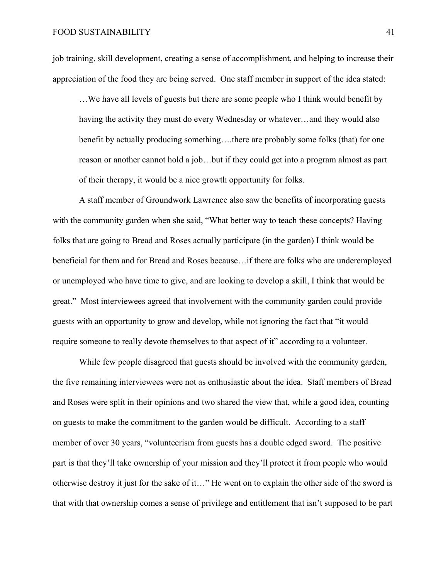job training, skill development, creating a sense of accomplishment, and helping to increase their appreciation of the food they are being served. One staff member in support of the idea stated:

…We have all levels of guests but there are some people who I think would benefit by having the activity they must do every Wednesday or whatever…and they would also benefit by actually producing something….there are probably some folks (that) for one reason or another cannot hold a job…but if they could get into a program almost as part of their therapy, it would be a nice growth opportunity for folks.

A staff member of Groundwork Lawrence also saw the benefits of incorporating guests with the community garden when she said, "What better way to teach these concepts? Having folks that are going to Bread and Roses actually participate (in the garden) I think would be beneficial for them and for Bread and Roses because…if there are folks who are underemployed or unemployed who have time to give, and are looking to develop a skill, I think that would be great." Most interviewees agreed that involvement with the community garden could provide guests with an opportunity to grow and develop, while not ignoring the fact that "it would require someone to really devote themselves to that aspect of it" according to a volunteer.

While few people disagreed that guests should be involved with the community garden, the five remaining interviewees were not as enthusiastic about the idea. Staff members of Bread and Roses were split in their opinions and two shared the view that, while a good idea, counting on guests to make the commitment to the garden would be difficult. According to a staff member of over 30 years, "volunteerism from guests has a double edged sword. The positive part is that they'll take ownership of your mission and they'll protect it from people who would otherwise destroy it just for the sake of it…" He went on to explain the other side of the sword is that with that ownership comes a sense of privilege and entitlement that isn't supposed to be part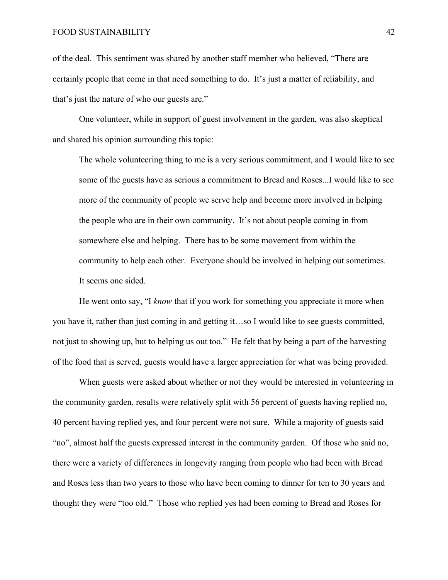of the deal. This sentiment was shared by another staff member who believed, "There are certainly people that come in that need something to do. It's just a matter of reliability, and that's just the nature of who our guests are."

One volunteer, while in support of guest involvement in the garden, was also skeptical and shared his opinion surrounding this topic:

The whole volunteering thing to me is a very serious commitment, and I would like to see some of the guests have as serious a commitment to Bread and Roses...I would like to see more of the community of people we serve help and become more involved in helping the people who are in their own community. It's not about people coming in from somewhere else and helping. There has to be some movement from within the community to help each other. Everyone should be involved in helping out sometimes. It seems one sided.

He went onto say, "I *know* that if you work for something you appreciate it more when you have it, rather than just coming in and getting it…so I would like to see guests committed, not just to showing up, but to helping us out too." He felt that by being a part of the harvesting of the food that is served, guests would have a larger appreciation for what was being provided.

When guests were asked about whether or not they would be interested in volunteering in the community garden, results were relatively split with 56 percent of guests having replied no, 40 percent having replied yes, and four percent were not sure. While a majority of guests said "no", almost half the guests expressed interest in the community garden. Of those who said no, there were a variety of differences in longevity ranging from people who had been with Bread and Roses less than two years to those who have been coming to dinner for ten to 30 years and thought they were "too old." Those who replied yes had been coming to Bread and Roses for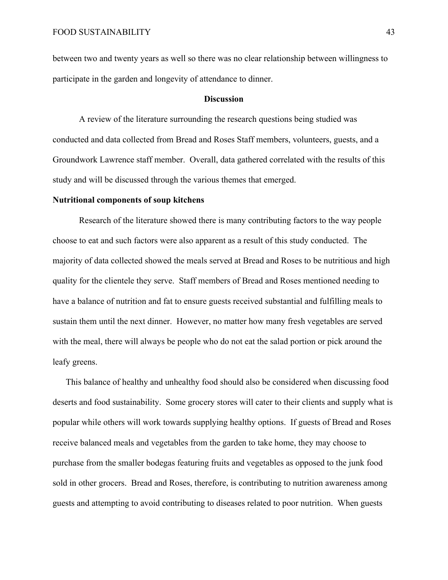between two and twenty years as well so there was no clear relationship between willingness to participate in the garden and longevity of attendance to dinner.

#### **Discussion**

A review of the literature surrounding the research questions being studied was conducted and data collected from Bread and Roses Staff members, volunteers, guests, and a Groundwork Lawrence staff member. Overall, data gathered correlated with the results of this study and will be discussed through the various themes that emerged.

#### **Nutritional components of soup kitchens**

Research of the literature showed there is many contributing factors to the way people choose to eat and such factors were also apparent as a result of this study conducted. The majority of data collected showed the meals served at Bread and Roses to be nutritious and high quality for the clientele they serve. Staff members of Bread and Roses mentioned needing to have a balance of nutrition and fat to ensure guests received substantial and fulfilling meals to sustain them until the next dinner. However, no matter how many fresh vegetables are served with the meal, there will always be people who do not eat the salad portion or pick around the leafy greens.

This balance of healthy and unhealthy food should also be considered when discussing food deserts and food sustainability. Some grocery stores will cater to their clients and supply what is popular while others will work towards supplying healthy options. If guests of Bread and Roses receive balanced meals and vegetables from the garden to take home, they may choose to purchase from the smaller bodegas featuring fruits and vegetables as opposed to the junk food sold in other grocers. Bread and Roses, therefore, is contributing to nutrition awareness among guests and attempting to avoid contributing to diseases related to poor nutrition. When guests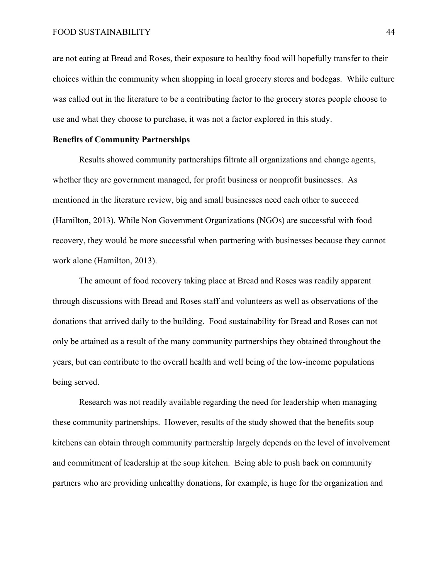are not eating at Bread and Roses, their exposure to healthy food will hopefully transfer to their choices within the community when shopping in local grocery stores and bodegas. While culture was called out in the literature to be a contributing factor to the grocery stores people choose to use and what they choose to purchase, it was not a factor explored in this study.

#### **Benefits of Community Partnerships**

Results showed community partnerships filtrate all organizations and change agents, whether they are government managed, for profit business or nonprofit businesses. As mentioned in the literature review, big and small businesses need each other to succeed (Hamilton, 2013). While Non Government Organizations (NGOs) are successful with food recovery, they would be more successful when partnering with businesses because they cannot work alone (Hamilton, 2013).

The amount of food recovery taking place at Bread and Roses was readily apparent through discussions with Bread and Roses staff and volunteers as well as observations of the donations that arrived daily to the building. Food sustainability for Bread and Roses can not only be attained as a result of the many community partnerships they obtained throughout the years, but can contribute to the overall health and well being of the low-income populations being served.

Research was not readily available regarding the need for leadership when managing these community partnerships. However, results of the study showed that the benefits soup kitchens can obtain through community partnership largely depends on the level of involvement and commitment of leadership at the soup kitchen. Being able to push back on community partners who are providing unhealthy donations, for example, is huge for the organization and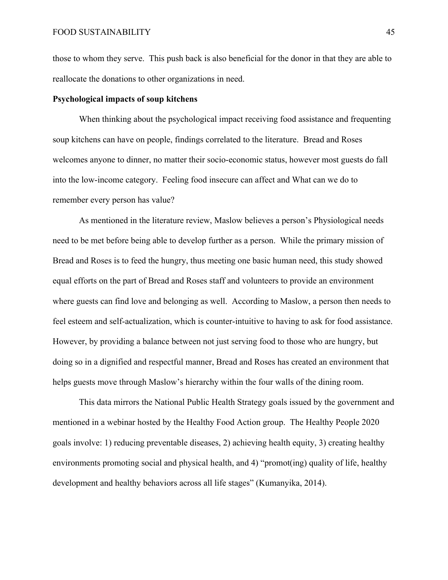those to whom they serve. This push back is also beneficial for the donor in that they are able to reallocate the donations to other organizations in need.

#### **Psychological impacts of soup kitchens**

When thinking about the psychological impact receiving food assistance and frequenting soup kitchens can have on people, findings correlated to the literature. Bread and Roses welcomes anyone to dinner, no matter their socio-economic status, however most guests do fall into the low-income category. Feeling food insecure can affect and What can we do to remember every person has value?

As mentioned in the literature review, Maslow believes a person's Physiological needs need to be met before being able to develop further as a person. While the primary mission of Bread and Roses is to feed the hungry, thus meeting one basic human need, this study showed equal efforts on the part of Bread and Roses staff and volunteers to provide an environment where guests can find love and belonging as well. According to Maslow, a person then needs to feel esteem and self-actualization, which is counter-intuitive to having to ask for food assistance. However, by providing a balance between not just serving food to those who are hungry, but doing so in a dignified and respectful manner, Bread and Roses has created an environment that helps guests move through Maslow's hierarchy within the four walls of the dining room.

This data mirrors the National Public Health Strategy goals issued by the government and mentioned in a webinar hosted by the Healthy Food Action group. The Healthy People 2020 goals involve: 1) reducing preventable diseases, 2) achieving health equity, 3) creating healthy environments promoting social and physical health, and 4) "promot(ing) quality of life, healthy development and healthy behaviors across all life stages" (Kumanyika, 2014).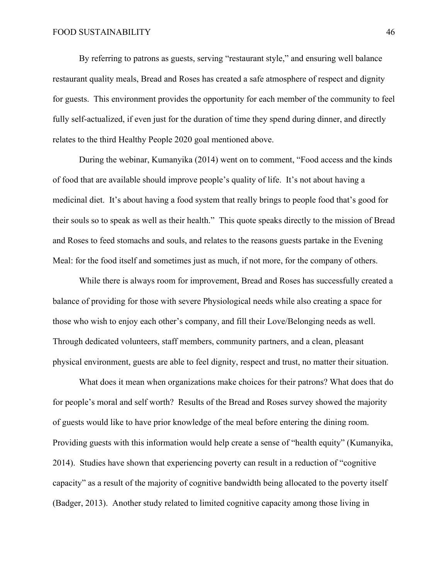By referring to patrons as guests, serving "restaurant style," and ensuring well balance restaurant quality meals, Bread and Roses has created a safe atmosphere of respect and dignity for guests. This environment provides the opportunity for each member of the community to feel fully self-actualized, if even just for the duration of time they spend during dinner, and directly relates to the third Healthy People 2020 goal mentioned above.

During the webinar, Kumanyika (2014) went on to comment, "Food access and the kinds of food that are available should improve people's quality of life. It's not about having a medicinal diet. It's about having a food system that really brings to people food that's good for their souls so to speak as well as their health." This quote speaks directly to the mission of Bread and Roses to feed stomachs and souls, and relates to the reasons guests partake in the Evening Meal: for the food itself and sometimes just as much, if not more, for the company of others.

While there is always room for improvement, Bread and Roses has successfully created a balance of providing for those with severe Physiological needs while also creating a space for those who wish to enjoy each other's company, and fill their Love/Belonging needs as well. Through dedicated volunteers, staff members, community partners, and a clean, pleasant physical environment, guests are able to feel dignity, respect and trust, no matter their situation.

What does it mean when organizations make choices for their patrons? What does that do for people's moral and self worth? Results of the Bread and Roses survey showed the majority of guests would like to have prior knowledge of the meal before entering the dining room. Providing guests with this information would help create a sense of "health equity" (Kumanyika, 2014). Studies have shown that experiencing poverty can result in a reduction of "cognitive capacity" as a result of the majority of cognitive bandwidth being allocated to the poverty itself (Badger, 2013). Another study related to limited cognitive capacity among those living in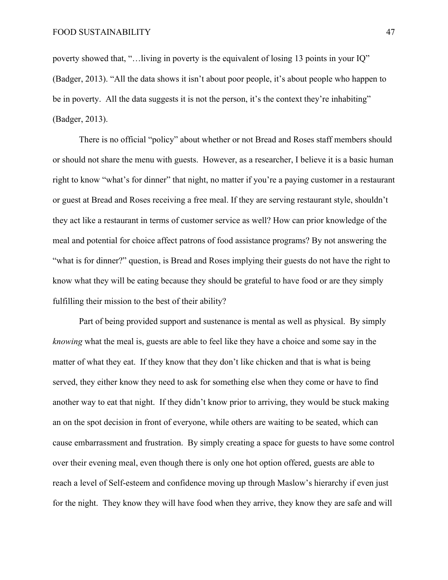poverty showed that, "…living in poverty is the equivalent of losing 13 points in your IQ" (Badger, 2013). "All the data shows it isn't about poor people, it's about people who happen to be in poverty. All the data suggests it is not the person, it's the context they're inhabiting" (Badger, 2013).

There is no official "policy" about whether or not Bread and Roses staff members should or should not share the menu with guests. However, as a researcher, I believe it is a basic human right to know "what's for dinner" that night, no matter if you're a paying customer in a restaurant or guest at Bread and Roses receiving a free meal. If they are serving restaurant style, shouldn't they act like a restaurant in terms of customer service as well? How can prior knowledge of the meal and potential for choice affect patrons of food assistance programs? By not answering the "what is for dinner?" question, is Bread and Roses implying their guests do not have the right to know what they will be eating because they should be grateful to have food or are they simply fulfilling their mission to the best of their ability?

Part of being provided support and sustenance is mental as well as physical. By simply *knowing* what the meal is, guests are able to feel like they have a choice and some say in the matter of what they eat. If they know that they don't like chicken and that is what is being served, they either know they need to ask for something else when they come or have to find another way to eat that night. If they didn't know prior to arriving, they would be stuck making an on the spot decision in front of everyone, while others are waiting to be seated, which can cause embarrassment and frustration. By simply creating a space for guests to have some control over their evening meal, even though there is only one hot option offered, guests are able to reach a level of Self-esteem and confidence moving up through Maslow's hierarchy if even just for the night. They know they will have food when they arrive, they know they are safe and will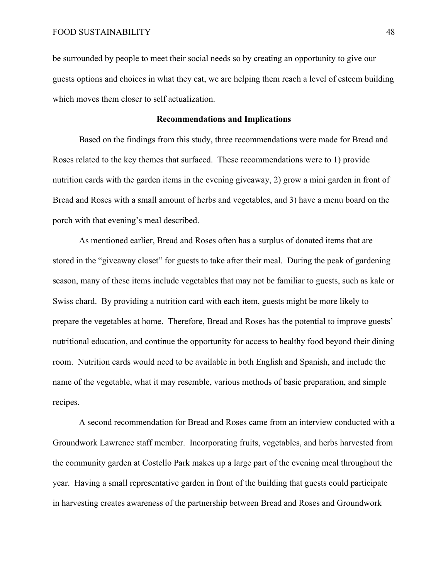be surrounded by people to meet their social needs so by creating an opportunity to give our guests options and choices in what they eat, we are helping them reach a level of esteem building which moves them closer to self actualization.

#### **Recommendations and Implications**

Based on the findings from this study, three recommendations were made for Bread and Roses related to the key themes that surfaced. These recommendations were to 1) provide nutrition cards with the garden items in the evening giveaway, 2) grow a mini garden in front of Bread and Roses with a small amount of herbs and vegetables, and 3) have a menu board on the porch with that evening's meal described.

As mentioned earlier, Bread and Roses often has a surplus of donated items that are stored in the "giveaway closet" for guests to take after their meal. During the peak of gardening season, many of these items include vegetables that may not be familiar to guests, such as kale or Swiss chard. By providing a nutrition card with each item, guests might be more likely to prepare the vegetables at home. Therefore, Bread and Roses has the potential to improve guests' nutritional education, and continue the opportunity for access to healthy food beyond their dining room. Nutrition cards would need to be available in both English and Spanish, and include the name of the vegetable, what it may resemble, various methods of basic preparation, and simple recipes.

A second recommendation for Bread and Roses came from an interview conducted with a Groundwork Lawrence staff member. Incorporating fruits, vegetables, and herbs harvested from the community garden at Costello Park makes up a large part of the evening meal throughout the year. Having a small representative garden in front of the building that guests could participate in harvesting creates awareness of the partnership between Bread and Roses and Groundwork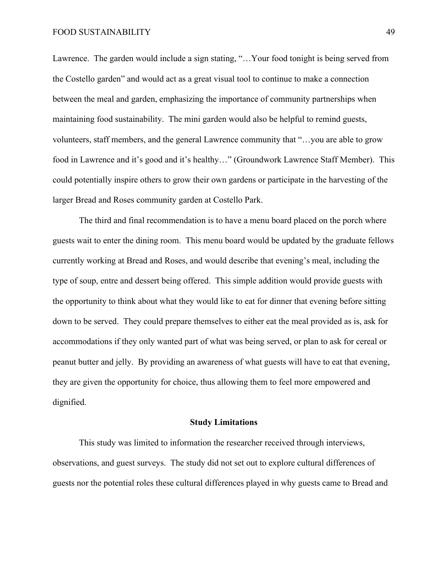Lawrence. The garden would include a sign stating, "…Your food tonight is being served from the Costello garden" and would act as a great visual tool to continue to make a connection between the meal and garden, emphasizing the importance of community partnerships when maintaining food sustainability. The mini garden would also be helpful to remind guests, volunteers, staff members, and the general Lawrence community that "…you are able to grow food in Lawrence and it's good and it's healthy…" (Groundwork Lawrence Staff Member). This could potentially inspire others to grow their own gardens or participate in the harvesting of the larger Bread and Roses community garden at Costello Park.

The third and final recommendation is to have a menu board placed on the porch where guests wait to enter the dining room. This menu board would be updated by the graduate fellows currently working at Bread and Roses, and would describe that evening's meal, including the type of soup, entre and dessert being offered. This simple addition would provide guests with the opportunity to think about what they would like to eat for dinner that evening before sitting down to be served. They could prepare themselves to either eat the meal provided as is, ask for accommodations if they only wanted part of what was being served, or plan to ask for cereal or peanut butter and jelly. By providing an awareness of what guests will have to eat that evening, they are given the opportunity for choice, thus allowing them to feel more empowered and dignified.

#### **Study Limitations**

This study was limited to information the researcher received through interviews, observations, and guest surveys. The study did not set out to explore cultural differences of guests nor the potential roles these cultural differences played in why guests came to Bread and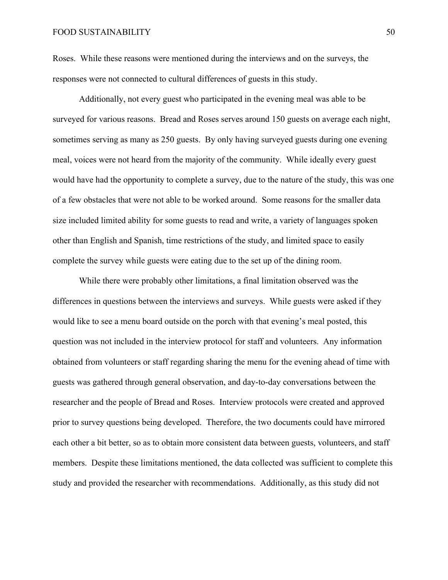Roses. While these reasons were mentioned during the interviews and on the surveys, the responses were not connected to cultural differences of guests in this study.

Additionally, not every guest who participated in the evening meal was able to be surveyed for various reasons. Bread and Roses serves around 150 guests on average each night, sometimes serving as many as 250 guests. By only having surveyed guests during one evening meal, voices were not heard from the majority of the community. While ideally every guest would have had the opportunity to complete a survey, due to the nature of the study, this was one of a few obstacles that were not able to be worked around. Some reasons for the smaller data size included limited ability for some guests to read and write, a variety of languages spoken other than English and Spanish, time restrictions of the study, and limited space to easily complete the survey while guests were eating due to the set up of the dining room.

While there were probably other limitations, a final limitation observed was the differences in questions between the interviews and surveys. While guests were asked if they would like to see a menu board outside on the porch with that evening's meal posted, this question was not included in the interview protocol for staff and volunteers. Any information obtained from volunteers or staff regarding sharing the menu for the evening ahead of time with guests was gathered through general observation, and day-to-day conversations between the researcher and the people of Bread and Roses. Interview protocols were created and approved prior to survey questions being developed. Therefore, the two documents could have mirrored each other a bit better, so as to obtain more consistent data between guests, volunteers, and staff members. Despite these limitations mentioned, the data collected was sufficient to complete this study and provided the researcher with recommendations. Additionally, as this study did not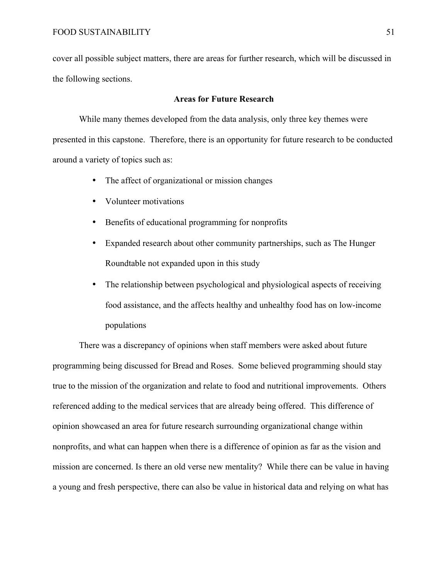cover all possible subject matters, there are areas for further research, which will be discussed in the following sections.

#### **Areas for Future Research**

While many themes developed from the data analysis, only three key themes were presented in this capstone. Therefore, there is an opportunity for future research to be conducted around a variety of topics such as:

- The affect of organizational or mission changes
- Volunteer motivations
- Benefits of educational programming for nonprofits
- Expanded research about other community partnerships, such as The Hunger Roundtable not expanded upon in this study
- The relationship between psychological and physiological aspects of receiving food assistance, and the affects healthy and unhealthy food has on low-income populations

There was a discrepancy of opinions when staff members were asked about future programming being discussed for Bread and Roses. Some believed programming should stay true to the mission of the organization and relate to food and nutritional improvements. Others referenced adding to the medical services that are already being offered. This difference of opinion showcased an area for future research surrounding organizational change within nonprofits, and what can happen when there is a difference of opinion as far as the vision and mission are concerned. Is there an old verse new mentality? While there can be value in having a young and fresh perspective, there can also be value in historical data and relying on what has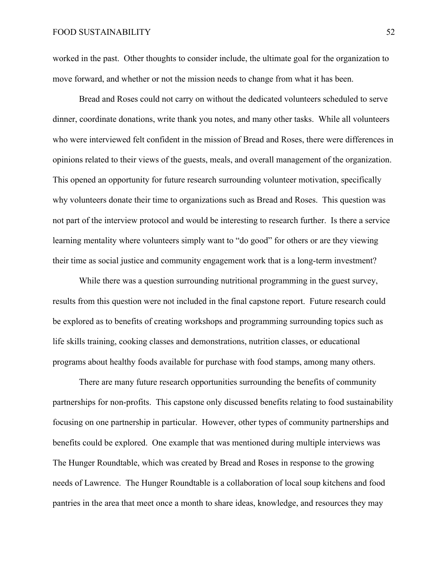worked in the past. Other thoughts to consider include, the ultimate goal for the organization to move forward, and whether or not the mission needs to change from what it has been.

Bread and Roses could not carry on without the dedicated volunteers scheduled to serve dinner, coordinate donations, write thank you notes, and many other tasks. While all volunteers who were interviewed felt confident in the mission of Bread and Roses, there were differences in opinions related to their views of the guests, meals, and overall management of the organization. This opened an opportunity for future research surrounding volunteer motivation, specifically why volunteers donate their time to organizations such as Bread and Roses. This question was not part of the interview protocol and would be interesting to research further. Is there a service learning mentality where volunteers simply want to "do good" for others or are they viewing their time as social justice and community engagement work that is a long-term investment?

While there was a question surrounding nutritional programming in the guest survey, results from this question were not included in the final capstone report. Future research could be explored as to benefits of creating workshops and programming surrounding topics such as life skills training, cooking classes and demonstrations, nutrition classes, or educational programs about healthy foods available for purchase with food stamps, among many others.

There are many future research opportunities surrounding the benefits of community partnerships for non-profits. This capstone only discussed benefits relating to food sustainability focusing on one partnership in particular. However, other types of community partnerships and benefits could be explored. One example that was mentioned during multiple interviews was The Hunger Roundtable, which was created by Bread and Roses in response to the growing needs of Lawrence. The Hunger Roundtable is a collaboration of local soup kitchens and food pantries in the area that meet once a month to share ideas, knowledge, and resources they may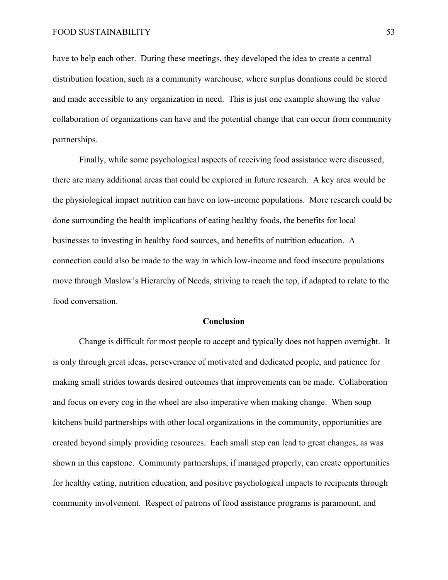have to help each other. During these meetings, they developed the idea to create a central distribution location, such as a community warehouse, where surplus donations could be stored and made accessible to any organization in need. This is just one example showing the value collaboration of organizations can have and the potential change that can occur from community partnerships.

Finally, while some psychological aspects of receiving food assistance were discussed, there are many additional areas that could be explored in future research. A key area would be the physiological impact nutrition can have on low-income populations. More research could be done surrounding the health implications of eating healthy foods, the benefits for local businesses to investing in healthy food sources, and benefits of nutrition education. A connection could also be made to the way in which low-income and food insecure populations move through Maslow's Hierarchy of Needs, striving to reach the top, if adapted to relate to the food conversation.

#### **Conclusion**

Change is difficult for most people to accept and typically does not happen overnight. It is only through great ideas, perseverance of motivated and dedicated people, and patience for making small strides towards desired outcomes that improvements can be made. Collaboration and focus on every cog in the wheel are also imperative when making change. When soup kitchens build partnerships with other local organizations in the community, opportunities are created beyond simply providing resources. Each small step can lead to great changes, as was shown in this capstone. Community partnerships, if managed properly, can create opportunities for healthy eating, nutrition education, and positive psychological impacts to recipients through community involvement. Respect of patrons of food assistance programs is paramount, and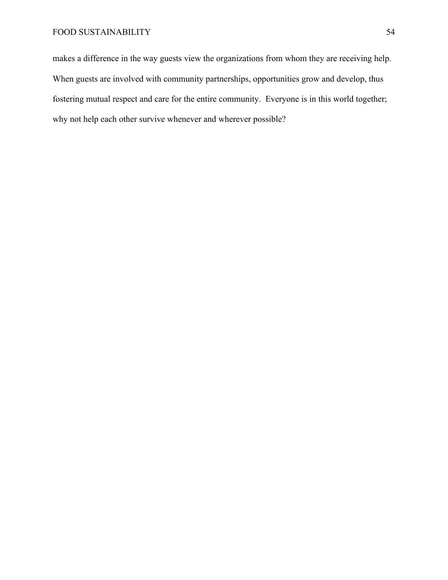makes a difference in the way guests view the organizations from whom they are receiving help. When guests are involved with community partnerships, opportunities grow and develop, thus fostering mutual respect and care for the entire community. Everyone is in this world together; why not help each other survive whenever and wherever possible?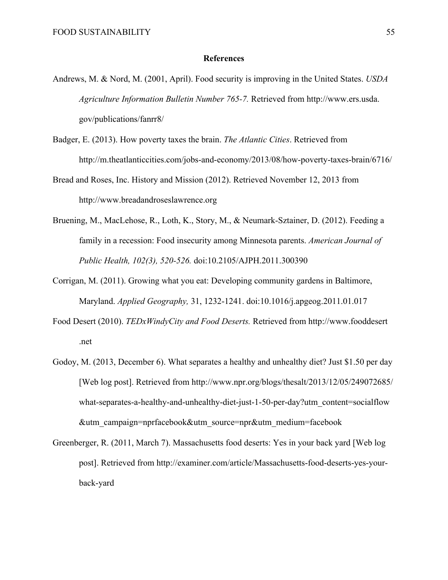#### **References**

- Andrews, M. & Nord, M. (2001, April). Food security is improving in the United States. *USDA Agriculture Information Bulletin Number 765-7.* Retrieved from http://www.ers.usda. gov/publications/fanrr8/
- Badger, E. (2013). How poverty taxes the brain. *The Atlantic Cities*. Retrieved from http://m.theatlanticcities.com/jobs-and-economy/2013/08/how-poverty-taxes-brain/6716/
- Bread and Roses, Inc. History and Mission (2012). Retrieved November 12, 2013 from http://www.breadandroseslawrence.org
- Bruening, M., MacLehose, R., Loth, K., Story, M., & Neumark-Sztainer, D. (2012). Feeding a family in a recession: Food insecurity among Minnesota parents. *American Journal of Public Health, 102(3), 520-526.* doi:10.2105/AJPH.2011.300390
- Corrigan, M. (2011). Growing what you eat: Developing community gardens in Baltimore, Maryland. *Applied Geography,* 31, 1232-1241. doi:10.1016/j.apgeog.2011.01.017
- Food Desert (2010). *TEDxWindyCity and Food Deserts.* Retrieved from http://www.fooddesert .net
- Godoy, M. (2013, December 6). What separates a healthy and unhealthy diet? Just \$1.50 per day [Web log post]. Retrieved from http://www.npr.org/blogs/thesalt/2013/12/05/249072685/ what-separates-a-healthy-and-unhealthy-diet-just-1-50-per-day?utm\_content=socialflow &utm\_campaign=nprfacebook&utm\_source=npr&utm\_medium=facebook
- Greenberger, R. (2011, March 7). Massachusetts food deserts: Yes in your back yard [Web log post]. Retrieved from http://examiner.com/article/Massachusetts-food-deserts-yes-yourback-yard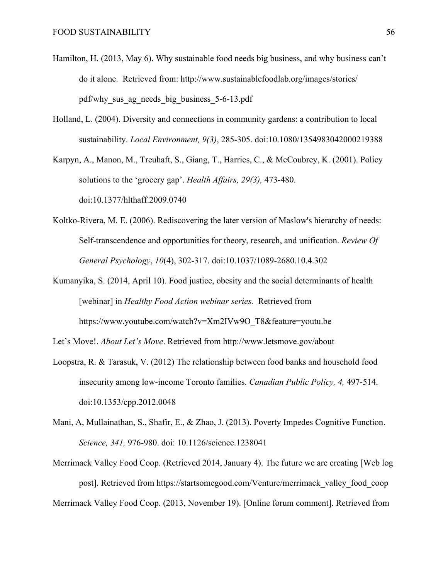- Hamilton, H. (2013, May 6). Why sustainable food needs big business, and why business can't do it alone. Retrieved from: http://www.sustainablefoodlab.org/images/stories/ pdf/why\_sus\_ag\_needs\_big\_business\_5-6-13.pdf
- Holland, L. (2004). Diversity and connections in community gardens: a contribution to local sustainability. *Local Environment, 9(3)*, 285-305. doi:10.1080/1354983042000219388

Karpyn, A., Manon, M., Treuhaft, S., Giang, T., Harries, C., & McCoubrey, K. (2001). Policy solutions to the 'grocery gap'. *Health Affairs, 29(3),* 473-480. doi:10.1377/hlthaff.2009.0740

- Koltko-Rivera, M. E. (2006). Rediscovering the later version of Maslow's hierarchy of needs: Self-transcendence and opportunities for theory, research, and unification. *Review Of General Psychology*, *10*(4), 302-317. doi:10.1037/1089-2680.10.4.302
- Kumanyika, S. (2014, April 10). Food justice, obesity and the social determinants of health [webinar] in *Healthy Food Action webinar series.* Retrieved from https://www.youtube.com/watch?v=Xm2IVw9O\_T8&feature=youtu.be
- Let's Move!. *About Let's Move*. Retrieved from http://www.letsmove.gov/about
- Loopstra, R. & Tarasuk, V. (2012) The relationship between food banks and household food insecurity among low-income Toronto families. *Canadian Public Policy, 4,* 497-514. doi:10.1353/cpp.2012.0048
- Mani, A, Mullainathan, S., Shafir, E., & Zhao, J. (2013). Poverty Impedes Cognitive Function. *Science, 341,* 976-980. doi: 10.1126/science.1238041
- Merrimack Valley Food Coop. (Retrieved 2014, January 4). The future we are creating [Web log post]. Retrieved from https://startsomegood.com/Venture/merrimack\_valley\_food\_coop Merrimack Valley Food Coop. (2013, November 19). [Online forum comment]. Retrieved from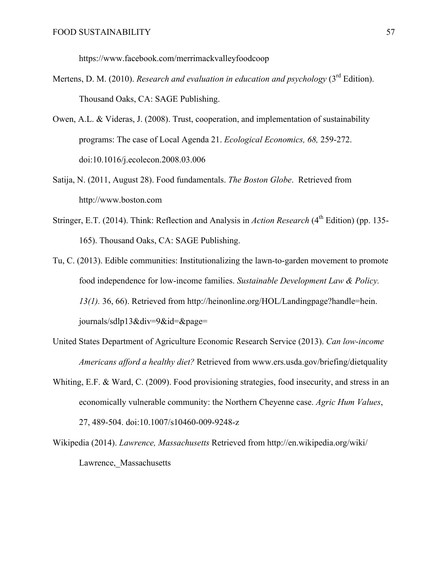https://www.facebook.com/merrimackvalleyfoodcoop

- Mertens, D. M. (2010). *Research and evaluation in education and psychology* (3<sup>rd</sup> Edition). Thousand Oaks, CA: SAGE Publishing.
- Owen, A.L. & Videras, J. (2008). Trust, cooperation, and implementation of sustainability programs: The case of Local Agenda 21. *Ecological Economics, 68,* 259-272. doi:10.1016/j.ecolecon.2008.03.006
- Satija, N. (2011, August 28). Food fundamentals. *The Boston Globe*. Retrieved from http://www.boston.com
- Stringer, E.T. (2014). Think: Reflection and Analysis in *Action Research* (4<sup>th</sup> Edition) (pp. 135-165). Thousand Oaks, CA: SAGE Publishing.
- Tu, C. (2013). Edible communities: Institutionalizing the lawn-to-garden movement to promote food independence for low-income families. *Sustainable Development Law & Policy. 13(1).* 36, 66). Retrieved from http://heinonline.org/HOL/Landingpage?handle=hein. journals/sdlp13&div=9&id=&page=
- United States Department of Agriculture Economic Research Service (2013). *Can low-income Americans afford a healthy diet?* Retrieved from www.ers.usda.gov/briefing/dietquality
- Whiting, E.F. & Ward, C. (2009). Food provisioning strategies, food insecurity, and stress in an economically vulnerable community: the Northern Cheyenne case. *Agric Hum Values*, 27, 489-504. doi:10.1007/s10460-009-9248-z
- Wikipedia (2014). *Lawrence, Massachusetts* Retrieved from http://en.wikipedia.org/wiki/ Lawrence, Massachusetts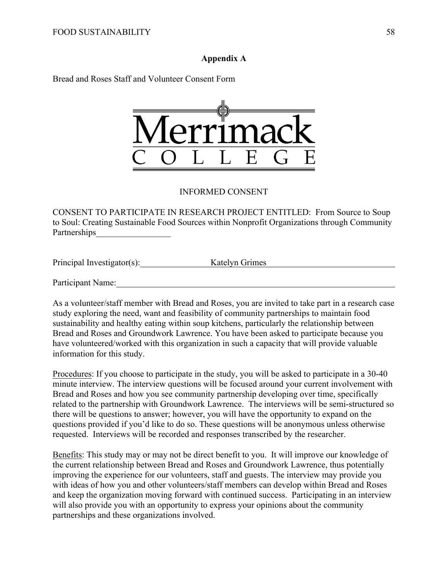#### **Appendix A**

Bread and Roses Staff and Volunteer Consent Form



#### INFORMED CONSENT

CONSENT TO PARTICIPATE IN RESEARCH PROJECT ENTITLED: From Source to Soup to Soul: Creating Sustainable Food Sources within Nonprofit Organizations through Community Partnerships

Principal Investigator(s): Katelyn Grimes

Participant Name:

As a volunteer/staff member with Bread and Roses, you are invited to take part in a research case study exploring the need, want and feasibility of community partnerships to maintain food sustainability and healthy eating within soup kitchens, particularly the relationship between Bread and Roses and Groundwork Lawrence. You have been asked to participate because you have volunteered/worked with this organization in such a capacity that will provide valuable information for this study.

Procedures: If you choose to participate in the study, you will be asked to participate in a 30-40 minute interview. The interview questions will be focused around your current involvement with Bread and Roses and how you see community partnership developing over time, specifically related to the partnership with Groundwork Lawrence. The interviews will be semi-structured so there will be questions to answer; however, you will have the opportunity to expand on the questions provided if you'd like to do so. These questions will be anonymous unless otherwise requested. Interviews will be recorded and responses transcribed by the researcher.

Benefits: This study may or may not be direct benefit to you. It will improve our knowledge of the current relationship between Bread and Roses and Groundwork Lawrence, thus potentially improving the experience for our volunteers, staff and guests. The interview may provide you with ideas of how you and other volunteers/staff members can develop within Bread and Roses and keep the organization moving forward with continued success. Participating in an interview will also provide you with an opportunity to express your opinions about the community partnerships and these organizations involved.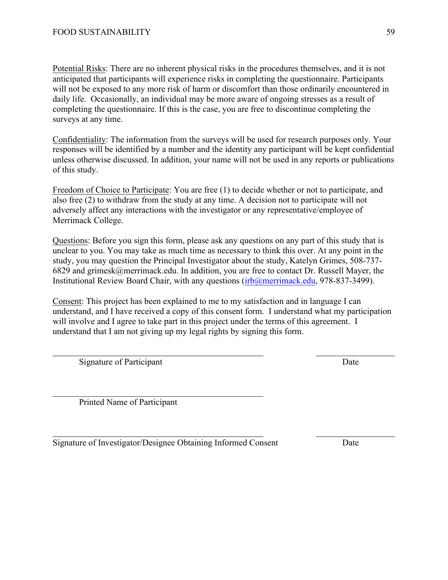Potential Risks: There are no inherent physical risks in the procedures themselves, and it is not anticipated that participants will experience risks in completing the questionnaire. Participants will not be exposed to any more risk of harm or discomfort than those ordinarily encountered in daily life. Occasionally, an individual may be more aware of ongoing stresses as a result of completing the questionnaire. If this is the case, you are free to discontinue completing the surveys at any time.

Confidentiality: The information from the surveys will be used for research purposes only. Your responses will be identified by a number and the identity any participant will be kept confidential unless otherwise discussed. In addition, your name will not be used in any reports or publications of this study.

Freedom of Choice to Participate: You are free (1) to decide whether or not to participate, and also free (2) to withdraw from the study at any time. A decision not to participate will not adversely affect any interactions with the investigator or any representative/employee of Merrimack College.

Questions: Before you sign this form, please ask any questions on any part of this study that is unclear to you. You may take as much time as necessary to think this over. At any point in the study, you may question the Principal Investigator about the study, Katelyn Grimes, 508-737- 6829 and grimesk@merrimack.edu. In addition, you are free to contact Dr. Russell Mayer, the Institutional Review Board Chair, with any questions (irb@merrimack.edu, 978-837-3499).

Consent: This project has been explained to me to my satisfaction and in language I can understand, and I have received a copy of this consent form. I understand what my participation will involve and I agree to take part in this project under the terms of this agreement. I understand that I am not giving up my legal rights by signing this form.

Signature of Participant Date

Printed Name of Participant

Signature of Investigator/Designee Obtaining Informed Consent Date

 $\mathcal{L}_\text{max}$  , and the contract of the contract of the contract of the contract of the contract of the contract of the contract of the contract of the contract of the contract of the contract of the contract of the contr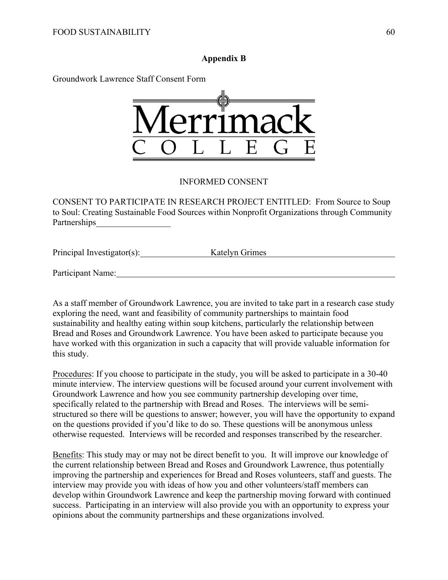# **Appendix B**

Groundwork Lawrence Staff Consent Form



# INFORMED CONSENT

CONSENT TO PARTICIPATE IN RESEARCH PROJECT ENTITLED: From Source to Soup to Soul: Creating Sustainable Food Sources within Nonprofit Organizations through Community Partnerships

Principal Investigator(s): Katelyn Grimes

Participant Name:

As a staff member of Groundwork Lawrence, you are invited to take part in a research case study exploring the need, want and feasibility of community partnerships to maintain food sustainability and healthy eating within soup kitchens, particularly the relationship between Bread and Roses and Groundwork Lawrence. You have been asked to participate because you have worked with this organization in such a capacity that will provide valuable information for this study.

Procedures: If you choose to participate in the study, you will be asked to participate in a 30-40 minute interview. The interview questions will be focused around your current involvement with Groundwork Lawrence and how you see community partnership developing over time, specifically related to the partnership with Bread and Roses. The interviews will be semistructured so there will be questions to answer; however, you will have the opportunity to expand on the questions provided if you'd like to do so. These questions will be anonymous unless otherwise requested. Interviews will be recorded and responses transcribed by the researcher.

Benefits: This study may or may not be direct benefit to you. It will improve our knowledge of the current relationship between Bread and Roses and Groundwork Lawrence, thus potentially improving the partnership and experiences for Bread and Roses volunteers, staff and guests. The interview may provide you with ideas of how you and other volunteers/staff members can develop within Groundwork Lawrence and keep the partnership moving forward with continued success. Participating in an interview will also provide you with an opportunity to express your opinions about the community partnerships and these organizations involved.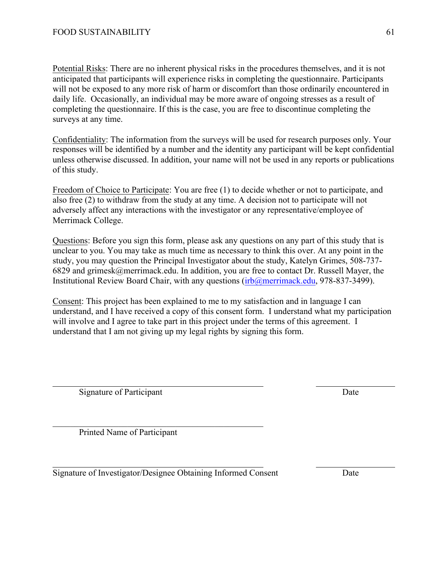Potential Risks: There are no inherent physical risks in the procedures themselves, and it is not anticipated that participants will experience risks in completing the questionnaire. Participants will not be exposed to any more risk of harm or discomfort than those ordinarily encountered in daily life. Occasionally, an individual may be more aware of ongoing stresses as a result of completing the questionnaire. If this is the case, you are free to discontinue completing the surveys at any time.

Confidentiality: The information from the surveys will be used for research purposes only. Your responses will be identified by a number and the identity any participant will be kept confidential unless otherwise discussed. In addition, your name will not be used in any reports or publications of this study.

Freedom of Choice to Participate: You are free (1) to decide whether or not to participate, and also free (2) to withdraw from the study at any time. A decision not to participate will not adversely affect any interactions with the investigator or any representative/employee of Merrimack College.

Questions: Before you sign this form, please ask any questions on any part of this study that is unclear to you. You may take as much time as necessary to think this over. At any point in the study, you may question the Principal Investigator about the study, Katelyn Grimes, 508-737- 6829 and grimesk@merrimack.edu. In addition, you are free to contact Dr. Russell Mayer, the Institutional Review Board Chair, with any questions (irb@merrimack.edu, 978-837-3499).

Consent: This project has been explained to me to my satisfaction and in language I can understand, and I have received a copy of this consent form. I understand what my participation will involve and I agree to take part in this project under the terms of this agreement. I understand that I am not giving up my legal rights by signing this form.

Signature of Participant Date

Printed Name of Participant

Signature of Investigator/Designee Obtaining Informed Consent Date

 $\mathcal{L}_\text{max}$  and the contract of the contract of the contract of the contract of the contract of the contract of the contract of the contract of the contract of the contract of the contract of the contract of the contrac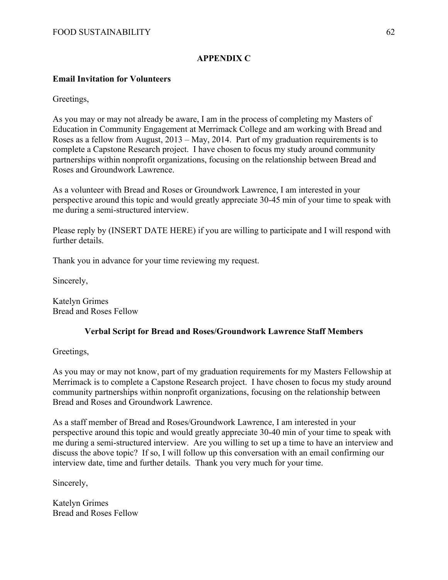# **APPENDIX C**

### **Email Invitation for Volunteers**

Greetings,

As you may or may not already be aware, I am in the process of completing my Masters of Education in Community Engagement at Merrimack College and am working with Bread and Roses as a fellow from August, 2013 – May, 2014. Part of my graduation requirements is to complete a Capstone Research project. I have chosen to focus my study around community partnerships within nonprofit organizations, focusing on the relationship between Bread and Roses and Groundwork Lawrence.

As a volunteer with Bread and Roses or Groundwork Lawrence, I am interested in your perspective around this topic and would greatly appreciate 30-45 min of your time to speak with me during a semi-structured interview.

Please reply by (INSERT DATE HERE) if you are willing to participate and I will respond with further details.

Thank you in advance for your time reviewing my request.

Sincerely,

Katelyn Grimes Bread and Roses Fellow

#### **Verbal Script for Bread and Roses/Groundwork Lawrence Staff Members**

Greetings,

As you may or may not know, part of my graduation requirements for my Masters Fellowship at Merrimack is to complete a Capstone Research project. I have chosen to focus my study around community partnerships within nonprofit organizations, focusing on the relationship between Bread and Roses and Groundwork Lawrence.

As a staff member of Bread and Roses/Groundwork Lawrence, I am interested in your perspective around this topic and would greatly appreciate 30-40 min of your time to speak with me during a semi-structured interview. Are you willing to set up a time to have an interview and discuss the above topic? If so, I will follow up this conversation with an email confirming our interview date, time and further details. Thank you very much for your time.

Sincerely,

Katelyn Grimes Bread and Roses Fellow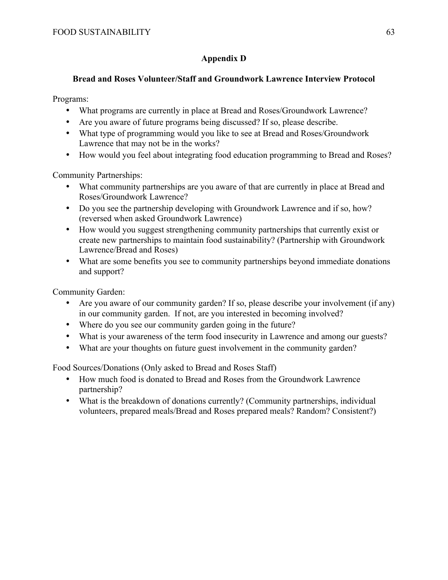# **Appendix D**

# **Bread and Roses Volunteer/Staff and Groundwork Lawrence Interview Protocol**

Programs:

- What programs are currently in place at Bread and Roses/Groundwork Lawrence?
- Are you aware of future programs being discussed? If so, please describe.
- What type of programming would you like to see at Bread and Roses/Groundwork Lawrence that may not be in the works?
- How would you feel about integrating food education programming to Bread and Roses?

Community Partnerships:

- What community partnerships are you aware of that are currently in place at Bread and Roses/Groundwork Lawrence?
- Do you see the partnership developing with Groundwork Lawrence and if so, how? (reversed when asked Groundwork Lawrence)
- How would you suggest strengthening community partnerships that currently exist or create new partnerships to maintain food sustainability? (Partnership with Groundwork Lawrence/Bread and Roses)
- What are some benefits you see to community partnerships beyond immediate donations and support?

Community Garden:

- Are you aware of our community garden? If so, please describe your involvement (if any) in our community garden. If not, are you interested in becoming involved?
- Where do you see our community garden going in the future?
- What is your awareness of the term food insecurity in Lawrence and among our guests?
- What are your thoughts on future guest involvement in the community garden?

Food Sources/Donations (Only asked to Bread and Roses Staff)

- How much food is donated to Bread and Roses from the Groundwork Lawrence partnership?
- What is the breakdown of donations currently? (Community partnerships, individual volunteers, prepared meals/Bread and Roses prepared meals? Random? Consistent?)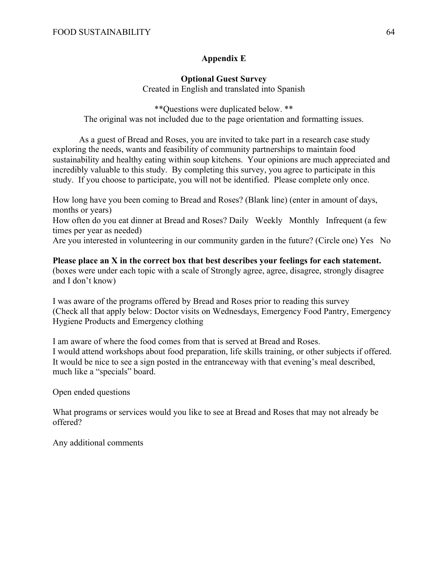# **Appendix E**

# **Optional Guest Survey**

Created in English and translated into Spanish

\*\*Questions were duplicated below. \*\* The original was not included due to the page orientation and formatting issues.

As a guest of Bread and Roses, you are invited to take part in a research case study exploring the needs, wants and feasibility of community partnerships to maintain food sustainability and healthy eating within soup kitchens. Your opinions are much appreciated and incredibly valuable to this study. By completing this survey, you agree to participate in this study. If you choose to participate, you will not be identified. Please complete only once.

How long have you been coming to Bread and Roses? (Blank line) (enter in amount of days, months or years)

How often do you eat dinner at Bread and Roses? Daily Weekly Monthly Infrequent (a few times per year as needed)

Are you interested in volunteering in our community garden in the future? (Circle one) Yes No

**Please place an X in the correct box that best describes your feelings for each statement.**  (boxes were under each topic with a scale of Strongly agree, agree, disagree, strongly disagree and I don't know)

I was aware of the programs offered by Bread and Roses prior to reading this survey (Check all that apply below: Doctor visits on Wednesdays, Emergency Food Pantry, Emergency Hygiene Products and Emergency clothing

I am aware of where the food comes from that is served at Bread and Roses. I would attend workshops about food preparation, life skills training, or other subjects if offered. It would be nice to see a sign posted in the entranceway with that evening's meal described, much like a "specials" board.

Open ended questions

What programs or services would you like to see at Bread and Roses that may not already be offered?

Any additional comments